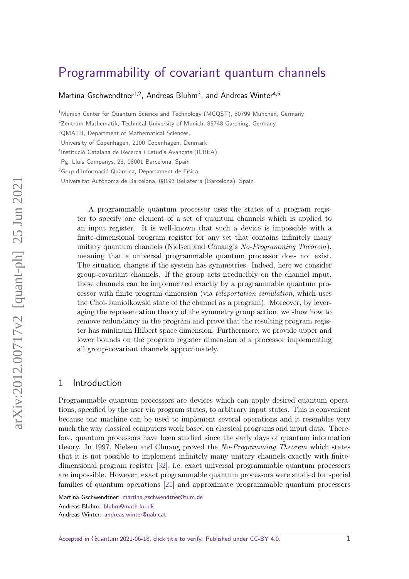# [Programmability of covariant quantum channels](https://quantum-journal.org/?s=Programmability%20of%20covariant%20quantum%20channels&reason=title-click)

[Martina Gschwendtner](https://orcid.org/0000-0002-2155-9693)<sup>1,2</sup>, [Andreas Bluhm](https://orcid.org/0000-0003-4796-7633)<sup>3</sup>, and [Andreas Winter](https://orcid.org/0000-0001-6344-4870. )<sup>4,5</sup>

<sup>1</sup> Munich Center for Quantum Science and Technology (MCQST), 80799 München, Germany

<sup>2</sup>Zentrum Mathematik, Technical University of Munich, 85748 Garching, Germany

<sup>3</sup>QMATH, Department of Mathematical Sciences,

University of Copenhagen, 2100 Copenhagen, Denmark

4 Institució Catalana de Recerca i Estudis Avançats (ICREA),

Pg. Lluis Companys, 23, 08001 Barcelona, Spain

<sup>5</sup>Grup d'Informació Quàntica, Departament de Física,

Universitat Autònoma de Barcelona, 08193 Bellaterra (Barcelona), Spain

A programmable quantum processor uses the states of a program register to specify one element of a set of quantum channels which is applied to an input register. It is well-known that such a device is impossible with a finite-dimensional program register for any set that contains infinitely many unitary quantum channels (Nielsen and Chuang's No-Programming Theorem), meaning that a universal programmable quantum processor does not exist. The situation changes if the system has symmetries. Indeed, here we consider group-covariant channels. If the group acts irreducibly on the channel input, these channels can be implemented exactly by a programmable quantum processor with finite program dimension (via teleportation simulation, which uses the Choi-Jamiołkowski state of the channel as a program). Moreover, by leveraging the representation theory of the symmetry group action, we show how to remove redundancy in the program and prove that the resulting program register has minimum Hilbert space dimension. Furthermore, we provide upper and lower bounds on the program register dimension of a processor implementing all group-covariant channels approximately.

# 1 Introduction

Programmable quantum processors are devices which can apply desired quantum operations, specified by the user via program states, to arbitrary input states. This is convenient because one machine can be used to implement several operations and it resembles very much the way classical computers work based on classical programs and input data. Therefore, quantum processors have been studied since the early days of quantum information theory. In 1997, Nielsen and Chuang proved the No-Programming Theorem which states that it is not possible to implement infinitely many unitary channels exactly with finitedimensional program register [\[32\]](#page-23-0), i.e. exact universal programmable quantum processors are impossible. However, exact programmable quantum processors were studied for special families of quantum operations [\[21\]](#page-22-0) and approximate programmable quantum processors

Accepted in  $\langle \rangle$ uantum 2021-06-18, click title to verify. Published under CC-BY 4.0.  $1$ 

Martina Gschwendtner: [martina.gschwendtner@tum.de](mailto:martina.gschwendtner@tum.de)

Andreas Bluhm: [bluhm@math.ku.dk](mailto:bluhm@math.ku.dk)

Andreas Winter: [andreas.winter@uab.cat](mailto:andreas.winter@uab.cat)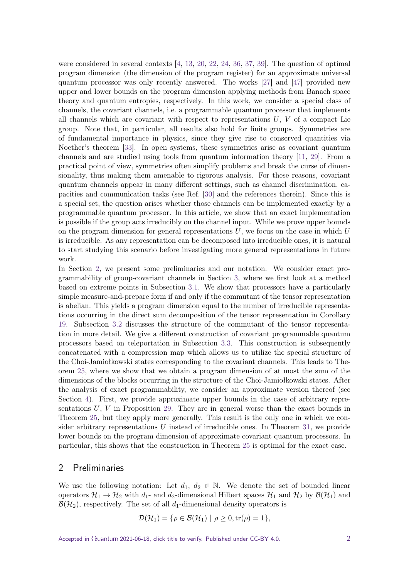were considered in several contexts [\[4,](#page-21-0) [13,](#page-22-1) [20,](#page-22-2) [22,](#page-22-3) [24,](#page-22-4) [36,](#page-23-1) [37,](#page-23-2) [39\]](#page-23-3). The question of optimal program dimension (the dimension of the program register) for an approximate universal quantum processor was only recently answered. The works [\[27\]](#page-22-5) and [\[47\]](#page-23-4) provided new upper and lower bounds on the program dimension applying methods from Banach space theory and quantum entropies, respectively. In this work, we consider a special class of channels, the covariant channels, i.e. a programmable quantum processor that implements all channels which are covariant with respect to representations *U*, *V* of a compact Lie group. Note that, in particular, all results also hold for finite groups. Symmetries are of fundamental importance in physics, since they give rise to conserved quantities via Noether's theorem [\[33\]](#page-23-5). In open systems, these symmetries arise as covariant quantum channels and are studied using tools from quantum information theory [\[11,](#page-21-1) [29\]](#page-22-6). From a practical point of view, symmetries often simplify problems and break the curse of dimensionality, thus making them amenable to rigorous analysis. For these reasons, covariant quantum channels appear in many different settings, such as channel discrimination, capacities and communication tasks (see Ref. [\[30\]](#page-23-6) and the references therein). Since this is a special set, the question arises whether those channels can be implemented exactly by a programmable quantum processor. In this article, we show that an exact implementation is possible if the group acts irreducibly on the channel input. While we prove upper bounds on the program dimension for general representations *U*, we focus on the case in which *U* is irreducible. As any representation can be decomposed into irreducible ones, it is natural to start studying this scenario before investigating more general representations in future work.

In Section [2,](#page-1-0) we present some preliminaries and our notation. We consider exact programmability of group-covariant channels in Section [3,](#page-4-0) where we first look at a method based on extreme points in Subsection [3.1.](#page-7-0) We show that processors have a particularly simple measure-and-prepare form if and only if the commutant of the tensor representation is abelian. This yields a program dimension equal to the number of irreducible representations occurring in the direct sum decomposition of the tensor representation in Corollary [19.](#page-9-0) Subsection [3.2](#page-10-0) discusses the structure of the commutant of the tensor representation in more detail. We give a different construction of covariant programmable quantum processors based on teleportation in Subsection [3.3.](#page-11-0) This construction is subsequently concatenated with a compression map which allows us to utilize the special structure of the Choi-Jamiołkowski states corresponding to the covariant channels. This leads to Theorem [25,](#page-14-0) where we show that we obtain a program dimension of at most the sum of the dimensions of the blocks occurring in the structure of the Choi-Jamiołkowski states. After the analysis of exact programmability, we consider an approximate version thereof (see Section [4\)](#page-15-0). First, we provide approximate upper bounds in the case of arbitrary representations  $U, V$  in Proposition [29.](#page-16-0) They are in general worse than the exact bounds in Theorem [25,](#page-14-0) but they apply more generally. This result is the only one in which we consider arbitrary representations *U* instead of irreducible ones. In Theorem [31,](#page-18-0) we provide lower bounds on the program dimension of approximate covariant quantum processors. In particular, this shows that the construction in Theorem [25](#page-14-0) is optimal for the exact case.

## <span id="page-1-0"></span>2 Preliminaries

We use the following notation: Let  $d_1, d_2 \in \mathbb{N}$ . We denote the set of bounded linear operators  $\mathcal{H}_1 \to \mathcal{H}_2$  with  $d_1$ - and  $d_2$ -dimensional Hilbert spaces  $\mathcal{H}_1$  and  $\mathcal{H}_2$  by  $\mathcal{B}(\mathcal{H}_1)$  and  $\mathcal{B}(\mathcal{H}_2)$ , respectively. The set of all  $d_1$ -dimensional density operators is

$$
\mathcal{D}(\mathcal{H}_1) = \{ \rho \in \mathcal{B}(\mathcal{H}_1) \mid \rho \ge 0, \text{tr}(\rho) = 1 \},
$$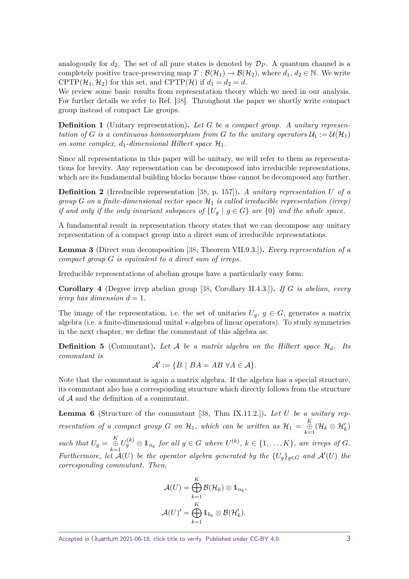analogously for  $d_2$ . The set of all pure states is denoted by  $\mathcal{D}_P$ . A quantum channel is a completely positive trace-preserving map  $T : \mathcal{B}(\mathcal{H}_1) \to \mathcal{B}(\mathcal{H}_2)$ , where  $d_1, d_2 \in \mathbb{N}$ . We write CPTP( $\mathcal{H}_1, \mathcal{H}_2$ ) for this set, and CPTP( $\mathcal{H}$ ) if  $d_1 = d_2 = d$ .

We review some basic results from representation theory which we need in our analysis. For further details we refer to Ref. [\[38\]](#page-23-7). Throughout the paper we shortly write compact group instead of compact Lie groups.

**Definition 1** (Unitary representation)**.** *Let G be a compact group. A unitary representation of G is a continuous homomorphism from G to the unitary operators*  $U_1 := U(H_1)$ *on some complex,*  $d_1$ -dimensional Hilbert space  $\mathcal{H}_1$ .

Since all representations in this paper will be unitary, we will refer to them as representations for brevity. Any representation can be decomposed into irreducible representations, which are its fundamental building blocks because those cannot be decomposed any further.

**Definition 2** (Irreducible representation [\[38,](#page-23-7) p. 157])**.** *A unitary representation U of a group G on a finite-dimensional vector space*  $\mathcal{H}_1$  *is called irreducible representation (irrep) if and only if the only invariant subspaces of*  $\{U_g \mid g \in G\}$  *are*  $\{0\}$  *and the whole space.* 

A fundamental result in representation theory states that we can decompose any unitary representation of a compact group into a direct sum of irreducible representations.

**Lemma 3** (Direct sum decomposition [\[38,](#page-23-7) Theorem VII.9.3.])**.** *Every representation of a compact group G is equivalent to a direct sum of irreps.*

Irreducible representations of abelian groups have a particularly easy form:

**Corollary 4** (Degree irrep abelian group [\[38,](#page-23-7) Corollary II.4.3.])**.** *If G is abelian, every irrep has dimension*  $d = 1$ *.* 

The image of the representation, i.e. the set of unitaries  $U_q$ ,  $g \in G$ , generates a matrix algebra (i.e. a finite-dimensional unital ∗-algebra of linear operators). To study symmetries in the next chapter, we define the commutant of this algebra as:

**Definition 5** (Commutant). Let A be a matrix algebra on the Hilbert space  $\mathcal{H}_d$ . Its *commutant is*

$$
\mathcal{A}':=\{B \mid BA=AB \,\,\forall A\in\mathcal{A}\}.
$$

Note that the commutant is again a matrix algebra. If the algebra has a special structure, its commutant also has a corresponding structure which directly follows from the structure of A and the definition of a commutant.

**Lemma 6** (Structure of the commutant [\[38,](#page-23-7) Thm IX.11.2.])**.** *Let U be a unitary representation of a compact group G on*  $H_1$ *, which can be written as*  $H_1 = \bigoplus_{k=1}^K (\mathcal{H}_k \otimes \mathcal{H}'_k)$ 

such that  $U_g = \bigoplus_{k=1}^K U_g^{(k)} \otimes 1_{n_k}$  for all  $g \in G$  where  $U^{(k)}$ ,  $k \in \{1, ..., K\}$ , are irreps of G. *Furthermore, let*  $\mathcal{A}(U)$  *be the operator algebra generated by the*  $\{U_g\}_{g \in G}$  *and*  $\mathcal{A}'(U)$  *the corresponding commutant. Then,*

$$
\mathcal{A}(U) = \bigoplus_{k=1}^K \mathcal{B}(\mathcal{H}_k) \otimes \mathbb{1}_{n_k},
$$

$$
\mathcal{A}(U)' = \bigoplus_{k=1}^K \mathbb{1}_{b_k} \otimes \mathcal{B}(\mathcal{H}'_k).
$$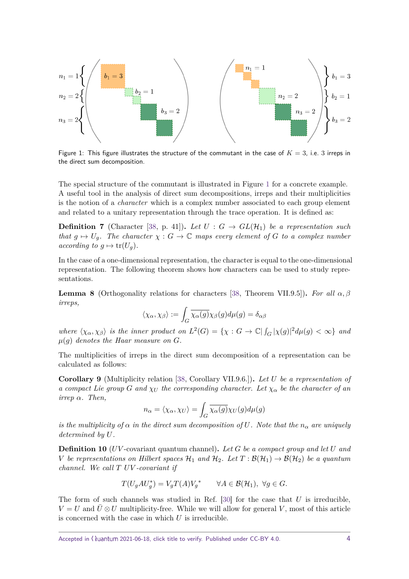<span id="page-3-0"></span>
$$
n_1 = 1 \left\{ \left( \begin{array}{cccc} b_1 = 3 \\ b_1 = 3 \\ \vdots \\ b_2 = 1 \\ b_3 = 2 \\ \vdots \\ b_3 = 2 \end{array} \right) \right\} b_1 = 3
$$
\n
$$
n_2 = 2 \left\{ \left( \begin{array}{cccc} m_1 = 1 \\ n_2 = 2 \\ \vdots \\ n_3 = 2 \\ \vdots \\ n_3 = 2 \end{array} \right) \right\} b_2 = 1
$$
\n
$$
n_3 = 2 \left\{ \left( \begin{array}{cccc} b_1 = 3 & b_1 = 3 \\ b_2 = 1 & b_1 = 3 \\ \vdots \\ b_3 = 2 & b_2 = 1 \\ \vdots \\ b_3 = 2 & b_3 = 2 \end{array} \right) \right\} b_1 = 3
$$

Figure 1: This figure illustrates the structure of the commutant in the case of  $K = 3$ , i.e. 3 irreps in the direct sum decomposition.

The special structure of the commutant is illustrated in Figure [1](#page-3-0) for a concrete example. A useful tool in the analysis of direct sum decompositions, irreps and their multiplicities is the notion of a *character* which is a complex number associated to each group element and related to a unitary representation through the trace operation. It is defined as:

**Definition 7** (Character [\[38,](#page-23-7) p. 41]). Let  $U : G \rightarrow GL(H_1)$  be a representation such *that*  $g \mapsto U_q$ *. The character*  $\chi : G \to \mathbb{C}$  maps every element of G to a complex number *according to*  $g \mapsto \text{tr}(U_q)$ *.* 

In the case of a one-dimensional representation, the character is equal to the one-dimensional representation. The following theorem shows how characters can be used to study representations.

<span id="page-3-1"></span>**Lemma 8** (Orthogonality relations for characters [\[38,](#page-23-7) Theorem VII.9.5]). *For all*  $\alpha$ ,  $\beta$ *irreps,*

$$
\langle \chi_{\alpha}, \chi_{\beta} \rangle := \int_G \overline{\chi_{\alpha}(g)} \chi_{\beta}(g) d\mu(g) = \delta_{\alpha\beta}
$$

*where*  $\langle \chi_{\alpha}, \chi_{\beta} \rangle$  *is the inner product on*  $L^2(G) = {\chi : G \to \mathbb{C} | \int_G |\chi(g)|^2 d\mu(g) < \infty}$  *and*  $\mu(g)$  *denotes the Haar measure on G.* 

The multiplicities of irreps in the direct sum decomposition of a representation can be calculated as follows:

<span id="page-3-2"></span>**Corollary 9** (Multiplicity relation [\[38,](#page-23-7) Corollary VII.9.6.])**.** *Let U be a representation of a compact Lie group G and*  $\chi$ *U the corresponding character. Let*  $\chi$ <sup>*α*</sup> *be the character of an irrep α. Then,*

$$
n_{\alpha} = \langle \chi_{\alpha}, \chi_{U} \rangle = \int_{G} \overline{\chi_{\alpha}(g)} \chi_{U}(g) d\mu(g)
$$

*is the multiplicity of*  $\alpha$  *in the direct sum decomposition of* U. Note that the  $n_{\alpha}$  are uniquely *determined by U.*

**Definition 10** (*UV* -covariant quantum channel)**.** *Let G be a compact group and let U and V be representations on Hilbert spaces*  $H_1$  *and*  $H_2$ *. Let*  $T : \mathcal{B}(\mathcal{H}_1) \to \mathcal{B}(\mathcal{H}_2)$  *be a quantum channel. We call T UV -covariant if*

$$
T(U_gAU_g^*) = V_gT(A)V_g^* \qquad \forall A \in \mathcal{B}(\mathcal{H}_1), \ \forall g \in G.
$$

The form of such channels was studied in Ref. [\[30\]](#page-23-6) for the case that *U* is irreducible,  $V = U$  and  $\bar{U} \otimes U$  multiplicity-free. While we will allow for general *V*, most of this article is concerned with the case in which *U* is irreducible.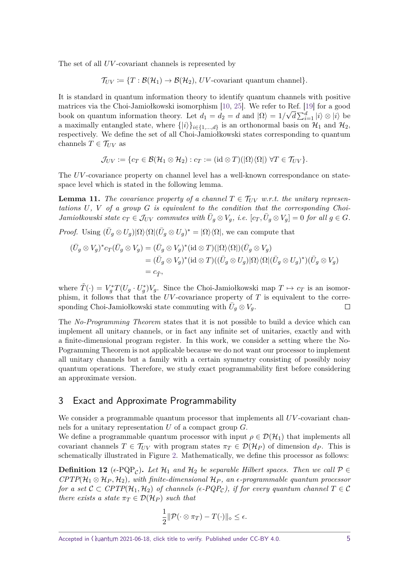The set of all *UV*-covariant channels is represented by

 $\mathcal{T}_{UV} \coloneqq \{T : \mathcal{B}(\mathcal{H}_1) \to \mathcal{B}(\mathcal{H}_2), UV\text{-covariant quantum channel}\}.$ 

It is standard in quantum information theory to identify quantum channels with positive matrices via the Choi-Jamiołkowski isomorphism [\[10,](#page-21-2) [25\]](#page-22-7). We refer to Ref. [\[19\]](#page-22-8) for a good book on quantum information theory. Let  $d_1 = d_2 = d$  and  $|\Omega\rangle = 1/\sqrt{d} \sum_{i=1}^d |i\rangle \otimes |i\rangle$  be a maximally entangled state, where  $\{|i\rangle\}_{i\in\{1,\ldots,d\}}$  is an orthonormal basis on  $\mathcal{H}_1$  and  $\mathcal{H}_2$ , respectively. We define the set of all Choi-Jamiołkowski states corresponding to quantum channels  $T \in \mathcal{T}_{UV}$  as

$$
\mathcal{J}_{UV} := \{c_T \in \mathcal{B}(\mathcal{H}_1 \otimes \mathcal{H}_2) : c_T := (\mathrm{id} \otimes T)(|\Omega\rangle\langle\Omega|) \ \forall T \in \mathcal{T}_{UV}\}.
$$

The *UV*-covariance property on channel level has a well-known correspondance on statespace level which is stated in the following lemma.

<span id="page-4-1"></span>**Lemma 11.** The covariance property of a channel  $T \in \mathcal{T}_{UV}$  w.r.t. the unitary represen*tations U, V of a group G is equivalent to the condition that the corresponding Choi-*Jamiołkowski state  $c_T \in \mathcal{J}_{UV}$  commutes with  $\bar{U}_g \otimes V_g$ , i.e.  $[c_T, \bar{U}_g \otimes V_g] = 0$  for all  $g \in G$ .

*Proof.* Using  $(\bar{U}_g \otimes U_g)|\Omega\rangle\langle\Omega|(\bar{U}_g \otimes U_g)^* = |\Omega\rangle\langle\Omega|$ , we can compute that

$$
\begin{aligned} (\bar{U}_g \otimes V_g)^* c_T (\bar{U}_g \otimes V_g) &= (\bar{U}_g \otimes V_g)^* (\mathrm{id} \otimes T)(|\Omega\rangle\langle\Omega|) (\bar{U}_g \otimes V_g) \\ &= (\bar{U}_g \otimes V_g)^* (\mathrm{id} \otimes T)((\bar{U}_g \otimes U_g)|\Omega\rangle\langle\Omega| (\bar{U}_g \otimes U_g)^*) (\bar{U}_g \otimes V_g) \\ &= c_{\tilde{T}}, \end{aligned}
$$

where  $\tilde{T}(\cdot) = V_g^* T (U_g \cdot U_g^*) V_g$ . Since the Choi-Jamiołkowski map  $T \mapsto c_T$  is an isomorphism, it follows that that the *UV* -covariance property of *T* is equivalent to the corresponding Choi-Jamiołkowski state commuting with  $\bar{U}_g \otimes V_g$ .  $\Box$ 

The No-Programming Theorem states that it is not possible to build a device which can implement all unitary channels, or in fact any infinite set of unitaries, exactly and with a finite-dimensional program register. In this work, we consider a setting where the No-Pogramming Theorem is not applicable because we do not want our processor to implement all unitary channels but a family with a certain symmetry consisting of possibly noisy quantum operations. Therefore, we study exact programmability first before considering an approximate version.

# <span id="page-4-0"></span>3 Exact and Approximate Programmability

We consider a programmable quantum processor that implements all *UV*-covariant channels for a unitary representation *U* of a compact group *G*.

We define a programmable quantum processor with input  $\rho \in \mathcal{D}(\mathcal{H}_1)$  that implements all covariant channels  $T \in \mathcal{T}_{UV}$  with program states  $\pi_T \in \mathcal{D}(\mathcal{H}_P)$  of dimension  $d_P$ . This is schematically illustrated in Figure [2.](#page-5-0) Mathematically, we define this processor as follows:

<span id="page-4-2"></span>**Definition 12** ( $\epsilon$ -PQP<sub>C</sub>). Let  $\mathcal{H}_1$  and  $\mathcal{H}_2$  be separable Hilbert spaces. Then we call  $\mathcal{P} \in$  $CPTP(\mathcal{H}_1 \otimes \mathcal{H}_P, \mathcal{H}_2)$ , with finite-dimensional  $\mathcal{H}_P$ , an  $\epsilon$ -programmable quantum processor *for a set*  $C \subset CPTP(\mathcal{H}_1, \mathcal{H}_2)$  *of channels (* $\epsilon$ - $PQP_c$ *), if for every quantum channel*  $T \in C$ *there exists a state*  $\pi_T \in \mathcal{D}(\mathcal{H}_P)$  *such that* 

$$
\frac{1}{2}||\mathcal{P}(\cdot \otimes \pi_T) - T(\cdot)||_{\diamond} \leq \epsilon.
$$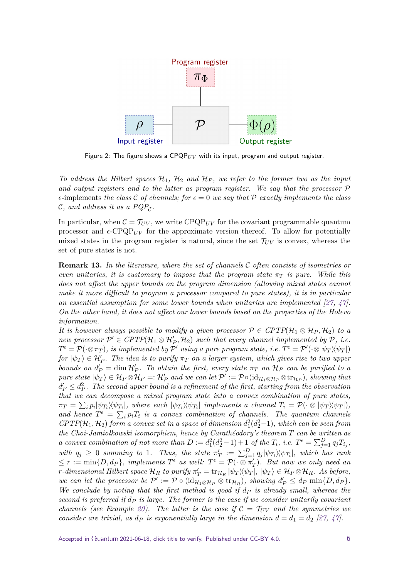<span id="page-5-0"></span>

Figure 2: The figure shows a  $\text{CPQP}_{UV}$  with its input, program and output register.

*To address the Hilbert spaces* H1*,* H<sup>2</sup> *and* H*<sup>P</sup> , we refer to the former two as the input and output registers and to the latter as program register. We say that the processor* P  $\epsilon$ -implements *the class* C *of channels; for*  $\epsilon = 0$  *we say that* P *exactly implements the class*  $\mathcal{C},$  and address it as a  $PQP_{\mathcal{C}}$ .

In particular, when  $C = T_{UV}$ , we write  $\text{CPQP}_{UV}$  for the covariant programmable quantum processor and  $\epsilon$ -CPQP<sub>*UV*</sub> for the approximate version thereof. To allow for potentially mixed states in the program register is natural, since the set  $\mathcal{T}_{UV}$  is convex, whereas the set of pure states is not.

<span id="page-5-1"></span>**Remark 13.** *In the literature, where the set of channels* C *often consists of isometries or even unitaries, it is customary to impose that the program state*  $\pi$ *T is pure. While this does not affect the upper bounds on the program dimension (allowing mixed states cannot make it more difficult to program a processor compared to pure states), it is in particular an essential assumption for some lower bounds when unitaries are implemented [\[27,](#page-22-5) [47\]](#page-23-4). On the other hand, it does not affect our lower bounds based on the properties of the Holevo information.*

*It is however always possible to modify a given processor*  $P \in CPTP(\mathcal{H}_1 \otimes \mathcal{H}_P, \mathcal{H}_2)$  *to a new processor*  $\mathcal{P}' \in CPTP(\mathcal{H}_1 \otimes \mathcal{H}'_P, \mathcal{H}_2)$  such that every channel implemented by  $\mathcal{P}, i.e.$  $T^{\epsilon} = \mathcal{P}(\cdot \otimes \pi_T)$ , is implemented by  $\mathcal{P}'$  using a pure program state, i.e.  $T^{\epsilon} = \mathcal{P}'(\cdot \otimes |\psi_T\rangle \langle \psi_T|)$  $f \circ f$   $|\psi_T\rangle \in \mathcal{H}'_P$ . The idea is to purify  $\pi_T$  on a larger system, which gives rise to two upper *bounds on*  $d'_{P} = \dim \mathcal{H}'_{P}$ . To obtain the first, every state  $\pi_{T}$  *on*  $\mathcal{H}_{P}$  *can be purified to a*  $pure\ state\ |\psi_T\rangle \in \mathcal{H}_P \otimes \mathcal{H}_P =: \mathcal{H}'_P$  and we can let  $\mathcal{P}' := \mathcal{P} \circ (\mathrm{id}_{\mathcal{H}_1 \otimes \mathcal{H}_P} \otimes \mathrm{tr}_{\mathcal{H}_P}),$  showing that  $d'_{P} \leq d_{P}^{2}$ . The second upper bound is a refinement of the first, starting from the observation *that we can decompose a mixed program state into a convex combination of pure states,*  $\pi_T = \sum_i p_i |\psi_{T_i} \rangle \langle \psi_{T_i}|$ , where each  $|\psi_{T_i} \rangle \langle \psi_{T_i}|$  implements a channel  $T_i = \mathcal{P}(\cdot \otimes |\psi_T \rangle \langle \psi_T|)$ , and hence  $T^{\epsilon} = \sum_{i} p_i T_i$  *is a convex combination of channels. The quantum channels*  $CPTP(\mathcal{H}_1, \mathcal{H}_2)$  *form a convex set in a space of dimension*  $d_1^2(d_2^2-1)$ *, which can be seen from the Choi-Jamiołkowski isomorphism, hence by Carathéodory's theorem T can be written as a* convex combination of not more than  $D := d_1^2(d_2^2 - 1) + 1$  of the  $T_i$ , i.e.  $T^{\epsilon} = \sum_{j=1}^D q_j T_{i_j}$ , *with*  $q_j \geq 0$  summing to 1. Thus, the state  $\pi'_T := \sum_{j=1}^D q_j |\psi_{T_i} \rangle \langle \psi_{T_i}|$ , which has rank  $\leq r := \min\{D, d_P\}$ , implements  $T^{\epsilon}$  as well:  $T^{\epsilon} = \mathcal{P}(\cdot \otimes \pi_T')$ . But now we only need an  $r$ *-dimensional Hilbert space*  $\mathcal{H}_R$  *to purify*  $\pi'_T = \text{tr}_{\mathcal{H}_R} |\psi_T\rangle \langle \psi_T|, |\psi_T\rangle \in \mathcal{H}_P \otimes \mathcal{H}_R$ *. As before, we can let the processor be*  $\mathcal{P}' := \mathcal{P} \circ (\text{id}_{\mathcal{H}_1 \otimes \mathcal{H}_P} \otimes \text{tr}_{\mathcal{H}_R})$ *, showing*  $d'_P \leq d_P \min\{D, d_P\}$ *. We conclude by noting that the first method is good if d<sup>P</sup> is already small, whereas the second is preferred if d<sup>P</sup> is large. The former is the case if we consider unitarily covariant channels (see Example [20\)](#page-9-1). The latter is the case if*  $C = T_{UV}$  *and the symmetries we consider are trivial, as*  $d_P$  *<i>is exponentially large in the dimension*  $d = d_1 = d_2$  [\[27,](#page-22-5) [47\]](#page-23-4)*.*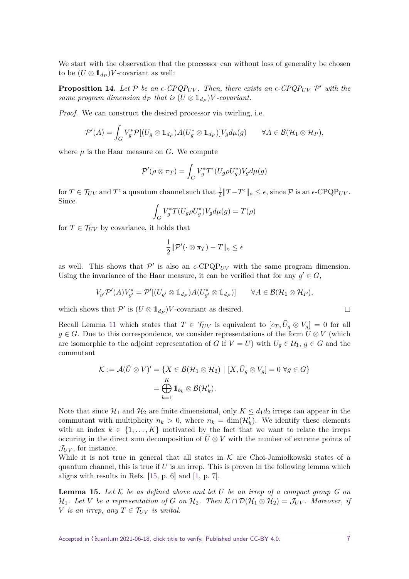We start with the observation that the processor can without loss of generality be chosen to be  $(U \otimes 1_{d_P})V$ -covariant as well:

**Proposition 14.** Let  $P$  be an  $\epsilon$ -CPQP<sub>UV</sub>. Then, there exists an  $\epsilon$ -CPQP<sub>UV</sub>  $P'$  with the *same program dimension*  $d_P$  *that is*  $(U \otimes 1_{d_P})V$ *-covariant.* 

*Proof.* We can construct the desired processor via twirling, i.e.

$$
\mathcal{P}'(A) = \int_G V_g^* \mathcal{P}[(U_g \otimes \mathbb{1}_{d_P}) A (U_g^* \otimes \mathbb{1}_{d_P})] V_g d\mu(g) \qquad \forall A \in \mathcal{B}(\mathcal{H}_1 \otimes \mathcal{H}_P),
$$

where  $\mu$  is the Haar measure on  $G$ . We compute

$$
\mathcal{P}'(\rho \otimes \pi_T) = \int_G V_g^* T^{\epsilon}(U_g \rho U_g^*) V_g d\mu(g)
$$

for  $T \in \mathcal{T}_{UV}$  and  $T^{\epsilon}$  a quantum channel such that  $\frac{1}{2}||T - T^{\epsilon}||_{\diamond} \leq \epsilon$ , since  $\mathcal{P}$  is an  $\epsilon$ -CPQP<sub>*UV*</sub>. Since

$$
\int_G V_g^* T(U_g \rho U_g^*) V_g d\mu(g) = T(\rho)
$$

for  $T \in \mathcal{T}_{UV}$  by covariance, it holds that

$$
\frac{1}{2} \|\mathcal{P}'(\cdot \otimes \pi_T) - T\|_{\diamond} \leq \epsilon
$$

as well. This shows that  $\mathcal{P}'$  is also an  $\epsilon$ -CPQP<sub>UV</sub> with the same program dimension. Using the invariance of the Haar measure, it can be verified that for any  $g' \in G$ ,

$$
V_{g'}\mathcal{P}'(A)V_{g'}^* = \mathcal{P}'[(U_{g'} \otimes \mathbb{1}_{d_P})A(U_{g'}^* \otimes \mathbb{1}_{d_P})] \qquad \forall A \in \mathcal{B}(\mathcal{H}_1 \otimes \mathcal{H}_P),
$$

which shows that  $\mathcal{P}'$  is  $(U \otimes 1_{d_P})V$ -covariant as desired.

Recall Lemma [11](#page-4-1) which states that  $T \in \mathcal{T}_{UV}$  is equivalent to  $[c_T, \bar{U}_g \otimes V_g] = 0$  for all *g* ∈ *G*. Due to this correspondence, we consider representations of the form  $\bar{U}$  ⊗ *V* (which are isomorphic to the adjoint representation of *G* if  $V = U$ ) with  $U_q \in \mathcal{U}_1$ ,  $g \in G$  and the commutant

$$
\mathcal{K} := \mathcal{A}(\bar{U} \otimes V)' = \{ X \in \mathcal{B}(\mathcal{H}_1 \otimes \mathcal{H}_2) \mid [X, \bar{U}_g \otimes V_g] = 0 \ \forall g \in G \}
$$

$$
= \bigoplus_{k=1}^K \mathbb{1}_{b_k} \otimes \mathcal{B}(\mathcal{H}'_k).
$$

Note that since  $\mathcal{H}_1$  and  $\mathcal{H}_2$  are finite dimensional, only  $K \leq d_1 d_2$  irreps can appear in the commutant with multiplicity  $n_k > 0$ , where  $n_k = \dim(\mathcal{H}'_k)$ . We identify these elements with an index  $k \in \{1, \ldots, K\}$  motivated by the fact that we want to relate the irreps occuring in the direct sum decomposition of  $\bar{U}\otimes V$  with the number of extreme points of  $\mathcal{J}_{UV}$ , for instance.

While it is not true in general that all states in  $K$  are Choi-Jamiołkowski states of a quantum channel, this is true if  $U$  is an irrep. This is proven in the following lemma which aligns with results in Refs.  $[15, p. 6]$  $[15, p. 6]$  and  $[1, p. 7]$  $[1, p. 7]$ .

<span id="page-6-0"></span>**Lemma 15.** *Let* K *be as defined above and let U be an irrep of a compact group G on*  $\mathcal{H}_1$ *. Let V be a representation of G on*  $\mathcal{H}_2$ *. Then*  $\mathcal{K} \cap \mathcal{D}(\mathcal{H}_1 \otimes \mathcal{H}_2) = \mathcal{J}_{UV}$ *. Moreover, if V is an irrep, any*  $T \in \mathcal{T}_{UV}$  *is unital.* 

 $\Box$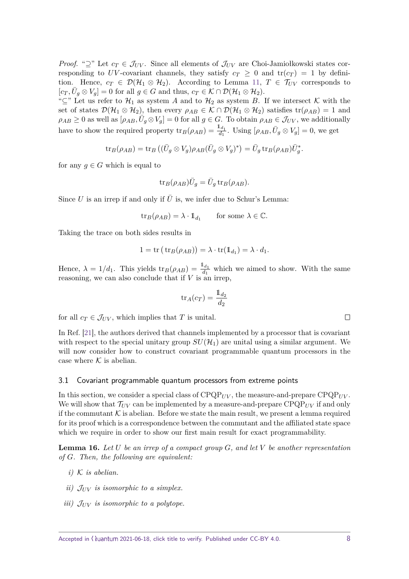*Proof.* " $\supseteq$ " Let  $c_T \in \mathcal{J}_{UV}$ . Since all elements of  $\mathcal{J}_{UV}$  are Choi-Jamiołkowski states corresponding to *UV*-covariant channels, they satisfy  $c_T \geq 0$  and  $tr(c_T) = 1$  by definition. Hence,  $c_T \in \mathcal{D}(\mathcal{H}_1 \otimes \mathcal{H}_2)$ . According to Lemma [11,](#page-4-1)  $T \in \mathcal{T}_{UV}$  corresponds to  $[c_T, \bar{U}_g \otimes V_g] = 0$  for all  $g \in G$  and thus,  $c_T \in \mathcal{K} \cap \mathcal{D}(\mathcal{H}_1 \otimes \mathcal{H}_2)$ .

" $\subseteq$ " Let us refer to  $\mathcal{H}_1$  as system *A* and to  $\mathcal{H}_2$  as system *B*. If we intersect K with the set of states  $\mathcal{D}(\mathcal{H}_1 \otimes \mathcal{H}_2)$ , then every  $\rho_{AB} \in \mathcal{K} \cap \mathcal{D}(\mathcal{H}_1 \otimes \mathcal{H}_2)$  satisfies  $\text{tr}(\rho_{AB}) = 1$  and  $\rho_{AB} \geq 0$  as well as  $[\rho_{AB}, \bar{U}_g \otimes V_g] = 0$  for all  $g \in G$ . To obtain  $\rho_{AB} \in \mathcal{J}_{UV}$ , we additionally have to show the required property  $\text{tr}_B(\rho_{AB}) = \frac{\mathbb{1}_{d_1}}{d_1}$ . Using  $[\rho_{AB}, \bar{U}_g \otimes V_g] = 0$ , we get

$$
\mathrm{tr}_B(\rho_{AB}) = \mathrm{tr}_B \left( (\bar U_g \otimes V_g) \rho_{AB} (\bar U_g \otimes V_g)^* \right) = \bar U_g \, \mathrm{tr}_B(\rho_{AB}) \bar U_g^*.
$$

for any  $g \in G$  which is equal to

$$
\text{tr}_B(\rho_{AB})\overline{U}_g = \overline{U}_g \text{tr}_B(\rho_{AB}).
$$

Since *U* is an irrep if and only if  $\overline{U}$  is, we infer due to Schur's Lemma:

$$
\operatorname{tr}_B(\rho_{AB}) = \lambda \cdot \mathbb{1}_{d_1} \qquad \text{for some } \lambda \in \mathbb{C}.
$$

Taking the trace on both sides results in

$$
1 = \text{tr}(\text{tr}_B(\rho_{AB})) = \lambda \cdot \text{tr}(\mathbb{1}_{d_1}) = \lambda \cdot d_1.
$$

Hence,  $\lambda = 1/d_1$ . This yields  $\text{tr}_B(\rho_{AB}) = \frac{1_d}{d_1}$  which we aimed to show. With the same reasoning, we can also conclude that if *V* is an irrep,

$$
\operatorname{tr}_A(c_T) = \frac{\mathbb{1}_{d_2}}{d_2}
$$

for all  $c_T \in \mathcal{J}_{UV}$ , which implies that *T* is unital.

In Ref. [\[21\]](#page-22-0), the authors derived that channels implemented by a processor that is covariant with respect to the special unitary group  $SU(\mathcal{H}_1)$  are unital using a similar argument. We will now consider how to construct covariant programmable quantum processors in the case where  $K$  is abelian.

#### <span id="page-7-0"></span>3.1 Covariant programmable quantum processors from extreme points

In this section, we consider a special class of  $CPQP_{UV}$ , the measure-and-prepare  $CPQP_{UV}$ . We will show that  $\mathcal{T}_{UV}$  can be implemented by a measure-and-prepare  $\text{CPQP}_{UV}$  if and only if the commutant  $K$  is abelian. Before we state the main result, we present a lemma required for its proof which is a correspondence between the commutant and the affiliated state space which we require in order to show our first main result for exact programmability.

<span id="page-7-1"></span>**Lemma 16.** *Let U be an irrep of a compact group G, and let V be another representation of G. Then, the following are equivalent:*

- $i)$  K *is abelian.*
- *ii*)  $J_{UV}$  *is isomorphic to a simplex.*
- *iii)*  $J_{UV}$  *is isomorphic to a polytope.*

 $\Box$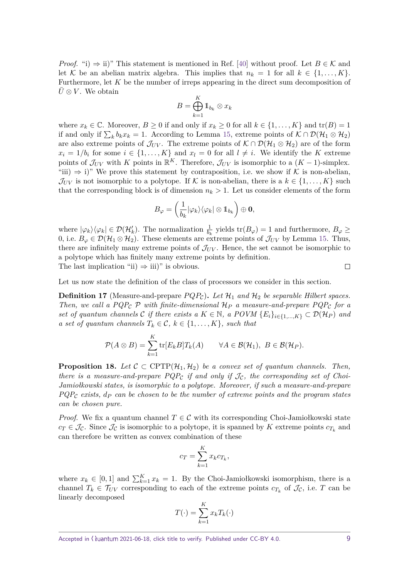*Proof.* "i)  $\Rightarrow$  ii)" This statement is mentioned in Ref. [\[40\]](#page-23-8) without proof. Let  $B \in \mathcal{K}$  and let K be an abelian matrix algebra. This implies that  $n_k = 1$  for all  $k \in \{1, \ldots, K\}$ . Furthermore, let *K* be the number of irreps appearing in the direct sum decomposition of  $U \otimes V$ . We obtain

$$
B=\bigoplus_{k=1}^K 1\!\!1_{b_k}\otimes x_k
$$

where  $x_k \in \mathbb{C}$ . Moreover,  $B \ge 0$  if and only if  $x_k \ge 0$  for all  $k \in \{1, \ldots, K\}$  and  $tr(B) = 1$ if and only if  $\sum_k b_k x_k = 1$ . According to Lemma [15,](#page-6-0) extreme points of  $\mathcal{K} \cap \mathcal{D}(\mathcal{H}_1 \otimes \mathcal{H}_2)$ are also extreme points of  $\mathcal{J}_{UV}$ . The extreme points of  $\mathcal{K} \cap \mathcal{D}(\mathcal{H}_1 \otimes \mathcal{H}_2)$  are of the form  $x_i = 1/b_i$  for some  $i \in \{1, ..., K\}$  and  $x_l = 0$  for all  $l \neq i$ . We identify the *K* extreme points of  $\mathcal{J}_{UV}$  with *K* points in  $\mathbb{R}^K$ . Therefore,  $\mathcal{J}_{UV}$  is isomorphic to a  $(K-1)$ -simplex. "iii)  $\Rightarrow$  i)" We prove this statement by contraposition, i.e. we show if K is non-abelian,  $\mathcal{J}_{UV}$  is not isomorphic to a polytope. If K is non-abelian, there is a  $k \in \{1, \ldots, K\}$  such that the corresponding block is of dimension  $n_k > 1$ . Let us consider elements of the form

$$
B_{\varphi}=\left(\frac{1}{b_k}|\varphi_k\rangle\langle\varphi_k|\otimes\mathbb{1}_{b_k}\right)\oplus\mathbf{0},
$$

where  $|\varphi_k\rangle\langle\varphi_k| \in \mathcal{D}(\mathcal{H}'_k)$ . The normalization  $\frac{1}{b_k}$  yields  $\text{tr}(B_{\varphi}) = 1$  and furthermore,  $B_{\varphi} \ge$ 0, i.e.  $B_{\varphi} \in \mathcal{D}(\mathcal{H}_1 \otimes \mathcal{H}_2)$ . These elements are extreme points of  $\mathcal{J}_{UV}$  by Lemma [15.](#page-6-0) Thus, there are infinitely many extreme points of  $\mathcal{J}_{UV}$ . Hence, the set cannot be isomorphic to a polytope which has finitely many extreme points by definition.  $\Box$ The last implication "ii)  $\Rightarrow$  iii)" is obvious.

Let us now state the definition of the class of processors we consider in this section.

**Definition 17** (Measure-and-prepare  $PQP_c$ ). Let  $\mathcal{H}_1$  and  $\mathcal{H}_2$  be separable Hilbert spaces. *Then, we call a PQP<sub>C</sub> P with finite-dimensional*  $H_P$  *a measure-and-prepare PQP<sub>C</sub> for a set of quantum channels*  $\mathcal{C}$  *if there exists a*  $K \in \mathbb{N}$ *, a POVM*  $\{E_i\}_{i\in\{1,\ldots,K\}} \subset \mathcal{D}(\mathcal{H}_P)$  and *a set of quantum channels*  $T_k \in \mathcal{C}, k \in \{1, \ldots, K\}$ *, such that* 

$$
\mathcal{P}(A\otimes B)=\sum_{k=1}^K \text{tr}[E_k B]T_k(A) \qquad \forall A\in \mathcal{B}(\mathcal{H}_1),\ B\in \mathcal{B}(\mathcal{H}_P).
$$

<span id="page-8-0"></span>**Proposition 18.** Let  $C \subset \text{CPTP}(\mathcal{H}_1, \mathcal{H}_2)$  be a convex set of quantum channels. Then, *there is a measure-and-prepare*  $PQP_C$  *if and only if*  $\mathcal{J}_C$ *, the corresponding set of Choi-Jamiołkowski states, is isomorphic to a polytope. Moreover, if such a measure-and-prepare PQP*<sup>C</sup> *exists, d<sup>P</sup> can be chosen to be the number of extreme points and the program states can be chosen pure.*

*Proof.* We fix a quantum channel  $T \in \mathcal{C}$  with its corresponding Choi-Jamiołkowski state  $c_T \in \mathcal{J}_\mathcal{C}$ . Since  $\mathcal{J}_\mathcal{C}$  is isomorphic to a polytope, it is spanned by *K* extreme points  $c_{T_k}$  and can therefore be written as convex combination of these

$$
c_T = \sum_{k=1}^K x_k c_{T_k},
$$

where  $x_k \in [0,1]$  and  $\sum_{k=1}^K x_k = 1$ . By the Choi-Jamiołkowski isomorphism, there is a channel  $T_k \in \mathcal{T}_{UV}$  corresponding to each of the extreme points  $c_{T_k}$  of  $\mathcal{J}_{\mathcal{C}}$ , i.e. *T* can be linearly decomposed

$$
T(\cdot) = \sum_{k=1}^{K} x_k T_k(\cdot)
$$

Accepted in  $\lambda$ uantum 2021-06-18, click title to verify. Published under CC-BY 4.0. 9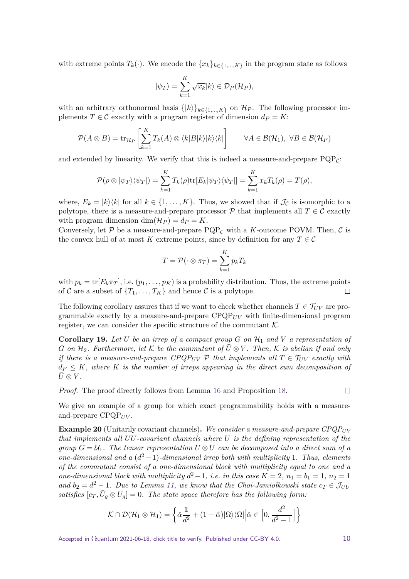with extreme points  $T_k(\cdot)$ . We encode the  $\{x_k\}_{k\in\{1,\ldots,K\}}$  in the program state as follows

$$
|\psi_T\rangle = \sum_{k=1}^K \sqrt{x_k} |k\rangle \in \mathcal{D}_P(\mathcal{H}_P),
$$

with an arbitrary orthonormal basis  $\{|k\rangle\}_{k\in\{1,\ldots,K\}}$  on  $\mathcal{H}_P$ . The following processor implements  $T \in \mathcal{C}$  exactly with a program register of dimension  $d_P = K$ :

$$
\mathcal{P}(A \otimes B) = \text{tr}_{\mathcal{H}_P} \left[ \sum_{k=1}^K T_k(A) \otimes \langle k|B|k\rangle |k\rangle \langle k| \right] \qquad \forall A \in \mathcal{B}(\mathcal{H}_1), \ \forall B \in \mathcal{B}(\mathcal{H}_P)
$$

and extended by linearity. We verify that this is indeed a measure-and-prepare  $PQP_{\mathcal{C}}$ :

$$
\mathcal{P}(\rho \otimes |\psi_T\rangle \langle \psi_T|) = \sum_{k=1}^K T_k(\rho) \text{tr}[E_k|\psi_T\rangle \langle \psi_T|] = \sum_{k=1}^K x_k T_k(\rho) = T(\rho),
$$

where,  $E_k = |k\rangle\langle k|$  for all  $k \in \{1, ..., K\}$ . Thus, we showed that if  $\mathcal{J}_\mathcal{C}$  is isomorphic to a polytope, there is a measure-and-prepare processor  $P$  that implements all  $T \in \mathcal{C}$  exactly with program dimension  $\dim(\mathcal{H}_P) = d_P = K$ .

Conversely, let  $P$  be a measure-and-prepare  $PQP<sub>C</sub>$  with a *K*-outcome POVM. Then,  $C$  is the convex hull of at most *K* extreme points, since by definition for any  $T \in \mathcal{C}$ 

$$
T = \mathcal{P}(\cdot \otimes \pi_T) = \sum_{k=1}^{K} p_k T_k
$$

with  $p_k = \text{tr}[E_k \pi_T]$ , i.e.  $(p_1, \ldots, p_K)$  is a probability distribution. Thus, the extreme points of C are a subset of  $\{T_1, \ldots, T_K\}$  and hence C is a polytope.  $\Box$ 

The following corollary assures that if we want to check whether channels  $T \in \mathcal{T}_{UV}$  are programmable exactly by a measure-and-prepare  $C P Q P_{UV}$  with finite-dimensional program register, we can consider the specific structure of the commutant  $K$ .

<span id="page-9-0"></span>**Corollary 19.** Let U be an irrep of a compact group  $G$  on  $\mathcal{H}_1$  and  $V$  a representation of *G* on  $\mathcal{H}_2$ *. Furthermore, let*  $K$  *be the commutant of*  $U \otimes V$ *. Then,*  $K$  *is abelian if and only if there is a measure-and-prepare CPQP<sub>UV</sub> P that implements all*  $T \in \mathcal{T}_{UV}$  *exactly with*  $d_P \leq K$ , where K *is the number of irreps appearing in the direct sum decomposition of*  $\bar{U}\otimes V$  *.* 

*Proof.* The proof directly follows from Lemma [16](#page-7-1) and Proposition [18.](#page-8-0)

 $\Box$ 

We give an example of a group for which exact programmability holds with a measureand-prepare CPQP*UV* .

<span id="page-9-1"></span>**Example 20** (Unitarily covariant channels). We consider a measure-and-prepare CPQP<sub>UV</sub> *that implements all UU-covariant channels where U is the defining representation of the group*  $G = U_1$ . The tensor representation  $\overline{U} \otimes U$  can be decomposed into a direct sum of a *one-dimensional and a*  $(d^2 - 1)$ *-dimensional irrep both with multiplicity* 1*. Thus, elements of the commutant consist of a one-dimensional block with multiplicity equal to one and a one-dimensional block with multiplicity*  $d^2-1$ *, i.e. in this case*  $K = 2$ *,*  $n_1 = b_1 = 1$ *,*  $n_2 = 1$ *and*  $b_2 = d^2 - 1$ *. Due to Lemma [11,](#page-4-1) we know that the Choi-Jamiołkowski state*  $c_T \in \mathcal{J}_{UU}$ *satisfies*  $[c_T, \bar{U}_g \otimes U_g] = 0$ . The state space therefore has the following form:

$$
\mathcal{K}\cap\mathcal{D}(\mathcal{H}_1\otimes\mathcal{H}_1)=\left\{\hat{\alpha}\frac{1}{d^2}+(1-\hat{\alpha})|\Omega\rangle\langle\Omega|\Big|\hat{\alpha}\in\left[0,\frac{d^2}{d^2-1}\right]\right\}
$$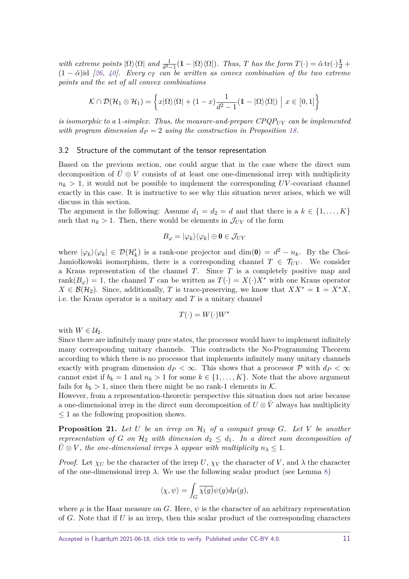*with extreme points*  $|\Omega\rangle\langle\Omega|$  *and*  $\frac{1}{d^2-1}(1-|\Omega\rangle\langle\Omega|)$ *. Thus, T has the form*  $T(\cdot) = \hat{\alpha} \text{tr}(\cdot)\frac{1}{d} +$  $(1 - \hat{\alpha})$ id [\[26,](#page-22-10) [40\]](#page-23-8). Every  $c_T$  can be written as convex combination of the two extreme *points and the set of all convex combinations*

$$
\mathcal{K} \cap \mathcal{D}(\mathcal{H}_1 \otimes \mathcal{H}_1) = \left\{ x | \Omega \rangle \langle \Omega | + (1 - x) \frac{1}{d^2 - 1} (\mathbb{1} - | \Omega \rangle \langle \Omega |) \middle| x \in [0, 1] \right\}
$$

*is isomorphic to a* 1*-simplex. Thus, the measure-and-prepare*  $CPQP_{UV}$  *can be implemented with program dimension*  $d_P = 2$  *using the construction in Proposition [18.](#page-8-0)* 

#### <span id="page-10-0"></span>3.2 Structure of the commutant of the tensor representation

Based on the previous section, one could argue that in the case where the direct sum decomposition of  $U\otimes V$  consists of at least one one-dimensional irrep with multiplicity  $n_k > 1$ , it would not be possible to implement the corresponding *UV*-covariant channel exactly in this case. It is instructive to see why this situation never arises, which we will discuss in this section.

The argument is the following: Assume  $d_1 = d_2 = d$  and that there is a  $k \in \{1, \ldots, K\}$ such that  $n_k > 1$ . Then, there would be elements in  $\mathcal{J}_{UV}$  of the form

$$
B_{\varphi}=|\varphi_{k}\rangle\langle\varphi_{k}|\oplus\mathbf{0}\in\mathcal{J}_{UV}
$$

where  $|\varphi_k\rangle\langle\varphi_k| \in \mathcal{D}(\mathcal{H}_k')$  is a rank-one projector and dim(0) =  $d^2 - n_k$ . By the Choi-Jamiołkowski isomorphism, there is a corresponding channel  $T \in \mathcal{T}_{UV}$ . We consider a Kraus representation of the channel *T*. Since *T* is a completely positive map and rank $(B_{\varphi}) = 1$ , the channel *T* can be written as  $T(\cdot) = X(\cdot)X^*$  with one Kraus operator  $X \in \mathcal{B}(\mathcal{H}_2)$ . Since, additionally, *T* is trace-preserving, we know that  $XX^* = 1 = X^*X$ , i.e. the Kraus operator is a unitary and *T* is a unitary channel

$$
T(\cdot) = W(\cdot)W^*
$$

with  $W \in \mathcal{U}_2$ .

Since there are infinitely many pure states, the processor would have to implement infinitely many corresponding unitary channels. This contradicts the No-Programming Theorem according to which there is no processor that implements infinitely many unitary channels exactly with program dimension  $d_P < \infty$ . This shows that a processor  $P$  with  $d_P < \infty$ cannot exist if  $b_k = 1$  and  $n_k > 1$  for some  $k \in \{1, ..., K\}$ . Note that the above argument fails for  $b_k > 1$ , since then there might be no rank-1 elements in K.

However, from a representation-theoretic perspective this situation does not arise because a one-dimensional irrep in the direct sum decomposition of  $U \otimes \overline{V}$  always has multiplicity ≤ 1 as the following proposition shows.

**Proposition 21.** *Let U be an irrep on* H<sup>1</sup> *of a compact group G. Let V be another representation of G on*  $H_2$  *with dimension*  $d_2 \leq d_1$ *. In a direct sum decomposition of*  $\bar{U} \otimes V$ , the one-dimensional irreps  $\lambda$  appear with multiplicity  $n_{\lambda} \leq 1$ .

*Proof.* Let  $\chi_U$  be the character of the irrep *U*,  $\chi_V$  the character of *V*, and  $\lambda$  the character of the one-dimensional irrep  $\lambda$ . We use the following scalar product (see Lemma [8\)](#page-3-1)

$$
\langle \chi, \psi \rangle = \int_G \overline{\chi(g)} \psi(g) d\mu(g),
$$

where  $\mu$  is the Haar measure on *G*. Here,  $\psi$  is the character of an arbitrary representation of *G*. Note that if *U* is an irrep, then this scalar product of the corresponding characters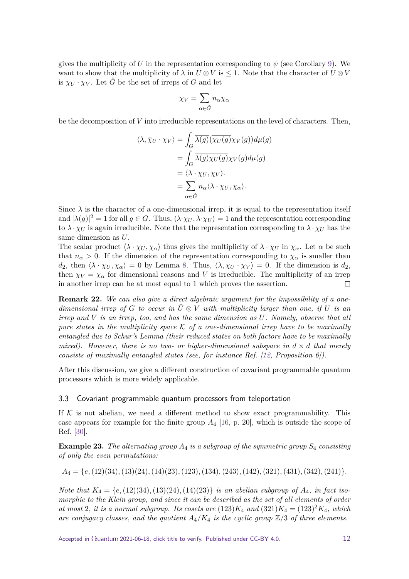gives the multiplicity of *U* in the representation corresponding to  $\psi$  (see Corollary [9\)](#page-3-2). We want to show that the multiplicity of  $\lambda$  in  $\bar{U} \otimes V$  is  $\leq 1$ . Note that the character of  $\bar{U} \otimes V$ is  $\bar{\chi}_{U} \cdot \chi_{V}$ . Let  $\hat{G}$  be the set of irreps of *G* and let

$$
\chi_V=\sum_{\alpha\in\hat{G}}n_\alpha\chi_\alpha
$$

be the decomposition of *V* into irreducible representations on the level of characters. Then,

$$
\langle \lambda, \bar{\chi}_U \cdot \chi_V \rangle = \int_G \overline{\lambda(g)} (\overline{\chi_U(g)} \chi_V(g)) d\mu(g)
$$
  
= 
$$
\int_G \overline{\lambda(g)} \chi_U(g) \chi_V(g) d\mu(g)
$$
  
= 
$$
\langle \lambda \cdot \chi_U, \chi_V \rangle.
$$
  
= 
$$
\sum_{\alpha \in \hat{G}} n_\alpha \langle \lambda \cdot \chi_U, \chi_\alpha \rangle.
$$

Since  $\lambda$  is the character of a one-dimensional irrep, it is equal to the representation itself and  $|\lambda(g)|^2 = 1$  for all  $g \in G$ . Thus,  $\langle \lambda \cdot \chi_U, \lambda \cdot \chi_U \rangle = 1$  and the representation corresponding to  $\lambda \cdot \chi_U$  is again irreducible. Note that the representation corresponding to  $\lambda \cdot \chi_U$  has the same dimension as *U*.

The scalar product  $\langle \lambda \cdot \chi_U, \chi_\alpha \rangle$  thus gives the multiplicity of  $\lambda \cdot \chi_U$  in  $\chi_\alpha$ . Let  $\alpha$  be such that  $n_{\alpha} > 0$ . If the dimension of the representation corresponding to  $\chi_{\alpha}$  is smaller than *d*<sub>2</sub>, then  $\langle \lambda \cdot \chi_U, \chi_\alpha \rangle = 0$  by Lemma [8.](#page-3-1) Thus,  $\langle \lambda, \overline{\chi}_U \cdot \chi_V \rangle = 0$ . If the dimension is *d*<sub>2</sub>, then  $\chi_V = \chi_\alpha$  for dimensional reasons and *V* is irreducible. The multiplicity of an irrep in another irrep can be at most equal to 1 which proves the assertion.  $\Box$ 

**Remark 22.** *We can also give a direct algebraic argument for the impossibility of a onedimensional irrep of*  $G$  *to occur in*  $U \otimes V$  *with multiplicity larger than one, if*  $U$  *is an irrep and V is an irrep, too, and has the same dimension as U. Namely, observe that all pure states in the multiplicity space* K *of a one-dimensional irrep have to be maximally entangled due to Schur's Lemma (their reduced states on both factors have to be maximally mixed). However, there is no two- or higher-dimensional subspace in*  $d \times d$  *that merely consists of maximally entangled states (see, for instance Ref. [\[12,](#page-22-11) Proposition 6]).*

After this discussion, we give a different construction of covariant programmable quantum processors which is more widely applicable.

#### <span id="page-11-0"></span>3.3 Covariant programmable quantum processors from teleportation

If  $K$  is not abelian, we need a different method to show exact programmability. This case appears for example for the finite group *A*<sup>4</sup> [\[16,](#page-22-12) p. 20], which is outside the scope of Ref. [\[30\]](#page-23-6).

**Example 23.** *The alternating group A*<sup>4</sup> *is a subgroup of the symmetric group S*<sup>4</sup> *consisting of only the even permutations:*

*A*<sup>4</sup> = {*e,*(12)(34)*,*(13)(24)*,*(14)(23)*,*(123)*,*(134)*,*(243)*,*(142)*,*(321)*,*(431)*,*(342)*,*(241)}*.*

*Note that*  $K_4 = \{e, (12)(34), (13)(24), (14)(23)\}$  *is an abelian subgroup of*  $A_4$ *, in fact isomorphic to the Klein group, and since it can be described as the set of all elements of order* at most 2, it is a normal subgroup. Its cosets are  $(123)K_4$  and  $(321)K_4 = (123)^2K_4$ , which are conjugacy classes, and the quotient  $A_4/K_4$  is the cyclic group  $\mathbb{Z}/3$  of three elements.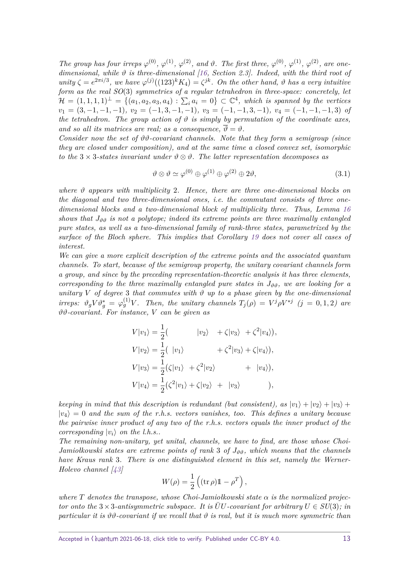*The group has four irreps*  $\varphi^{(0)}$ ,  $\varphi^{(1)}$ ,  $\varphi^{(2)}$ , and  $\vartheta$ . The first three,  $\varphi^{(0)}$ ,  $\varphi^{(1)}$ ,  $\varphi^{(2)}$ , are one*dimensional, while ϑ is three-dimensional [\[16,](#page-22-12) Section 2.3]. Indeed, with the third root of unity*  $\zeta = e^{2\pi i/3}$ , we have  $\varphi^{(j)}((123)^k K_4) = \zeta^{jk}$ *. On the other hand,*  $\vartheta$  has a very intuitive *form as the real SO*(3) *symmetries of a regular tetrahedron in three-space: concretely, let*  $\mathcal{H} = (1,1,1,1)^{\perp} = \{(a_1,a_2,a_3,a_4) : \sum_i a_i = 0\} \subset \mathbb{C}^4$ , which is spanned by the vertices  $v_1 = (3,-1,-1,-1), v_2 = (-1,3,-1,-1), v_3 = (-1,-1,3,-1), v_4 = (-1,-1,-1,3)$  of *the tetrahedron. The group action of*  $\vartheta$  *is simply by permutation of the coordinate axes, and so all its matrices are real; as a consequence,*  $\overline{\vartheta} = \vartheta$ .

*Consider now the set of ϑϑ-covariant channels. Note that they form a semigroup (since they are closed under composition), and at the same time a closed convex set, isomorphic to the*  $3 \times 3$ -states invariant under  $\vartheta \otimes \vartheta$ . The latter representation decomposes as

<span id="page-12-0"></span>
$$
\vartheta \otimes \vartheta \simeq \varphi^{(0)} \oplus \varphi^{(1)} \oplus \varphi^{(2)} \oplus 2\vartheta, \tag{3.1}
$$

*where ϑ appears with multiplicity* 2*. Hence, there are three one-dimensional blocks on the diagonal and two three-dimensional ones, i.e. the commutant consists of three onedimensional blocks and a two-dimensional block of multiplicity three. Thus, Lemma [16](#page-7-1) shows that*  $J_{\vartheta\vartheta}$  *is not a polytope; indeed its extreme points are three maximally entangled pure states, as well as a two-dimensional family of rank-three states, parametrized by the surface of the Bloch sphere. This implies that Corollary [19](#page-9-0) does not cover all cases of interest.*

*We can give a more explicit description of the extreme points and the associated quantum channels. To start, because of the semigroup property, the unitary covariant channels form a group, and since by the preceding representation-theoretic analysis it has three elements, corresponding to the three maximally entangled pure states in*  $J_{\vartheta\vartheta}$ , we are looking for a *unitary V* of degree 3 that commutes with  $\vartheta$  *up to a phase given by the one-dimensional* irreps:  $\vartheta_g V \vartheta_g^* = \varphi_g^{(1)} V$ . Then, the unitary channels  $T_j(\rho) = V^j \rho V^{*j}$  (j = 0,1,2) are *ϑϑ-covariant. For instance, V can be given as*

$$
V|v_1\rangle = \frac{1}{2}(\n\langle v_2 \rangle + \zeta |v_3 \rangle + \zeta^2 |v_4 \rangle),
$$
  
\n
$$
V|v_2\rangle = \frac{1}{2}(\langle v_1 \rangle + \langle v_2 \rangle + \langle v_3 \rangle),
$$
  
\n
$$
V|v_3\rangle = \frac{1}{2}(\langle v_1 \rangle + \langle v_2 \rangle + \langle v_4 \rangle),
$$
  
\n
$$
V|v_4\rangle = \frac{1}{2}(\langle v_1 \rangle + \langle v_2 \rangle + \langle v_3 \rangle),
$$

*keeping in mind that this description is redundant (but consistent), as*  $|v_1\rangle + |v_2\rangle + |v_3\rangle +$  $|v_4\rangle = 0$  and the sum of the r.h.s. vectors vanishes, too. This defines a unitary because *the pairwise inner product of any two of the r.h.s. vectors equals the inner product of the corresponding*  $|v_i\rangle$  *on the l.h.s..* 

*The remaining non-unitary, yet unital, channels, we have to find, are those whose Choi-Jamiołkowski states are extreme points of rank* 3 *of*  $J_{\vartheta\vartheta}$ , which means that the channels *have Kraus rank* 3*. There is one distinguished element in this set, namely the Werner-Holevo channel [\[43\]](#page-23-9)*

$$
W(\rho) = \frac{1}{2} \left( (\operatorname{tr} \rho) \mathbb{1} - \rho^T \right),
$$

where  $T$  denotes the transpose, whose Choi-Jamiołkowski state  $\alpha$  is the normalized projec*tor onto the*  $3 \times 3$ -antisymmetric subspace. It is UU -covariant for arbitrary  $U \in SU(3)$ ; in *particular it is*  $\vartheta \vartheta$ -covariant if we recall that  $\vartheta$  is real, but it is much more symmetric than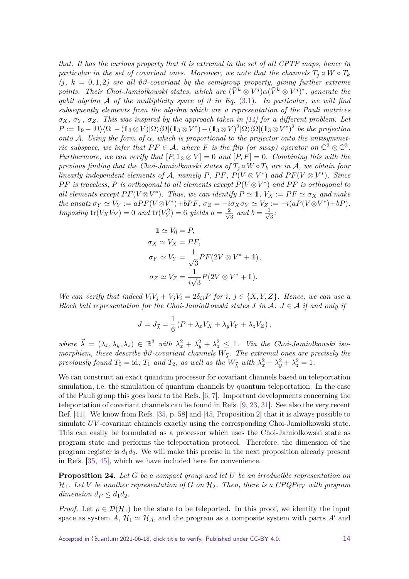*that. It has the curious property that it is extremal in the set of all CPTP maps, hence in particular in the set of covariant ones. Moreover, we note that the channels*  $T_i \circ W \circ T_k$  $(i, k = 0, 1, 2)$  are all  $\vartheta \vartheta$ -covariant by the semigroup property, giving further extreme *points. Their Choi-Jamiołkowski states, which are*  $(\bar{V}^k \otimes V^j) \alpha (\bar{V}^k \otimes V^j)^*$ , generate the *qubit algebra* A *of the multiplicity space of*  $\vartheta$  *in Eq.* [\(3.1\)](#page-12-0). In particular, we will find *subsequently elements from the algebra which are a representation of the Pauli matrices*  $\sigma_X$ ,  $\sigma_Y$ ,  $\sigma_Z$ . This was inspired by the approach taken in [\[14\]](#page-22-13) for a different problem. Let  $P := 1 \text{I}_9 - |\Omega\rangle\langle\Omega| - (13 \otimes V)|\Omega\rangle\langle\Omega| (13 \otimes V^*) - (13 \otimes V)^2 |\Omega\rangle\langle\Omega| (13 \otimes V^*)^2$  be the projection *onto* A*. Using the form of α, which is proportional to the projector onto the antisymmetric subspace, we infer that*  $PF \in \mathcal{A}$ *, where F is the flip (or swap) operator on*  $\mathbb{C}^3 \otimes \mathbb{C}^3$ *. Furthermore, we can verify that*  $[P, 1 \times 1 \times 1] = 0$  *and*  $[P, F] = 0$ *. Combining this with the previous finding that the Choi-Jamiołkowski states of*  $T_i \circ W \circ T_k$  *are in* A, *we obtain four linearly independent elements of* A, namely P, PF,  $P(V \otimes V^*)$  and  $PF(V \otimes V^*)$ . Since *PF* is traceless, *P* is orthogonal to all elements except  $P(V \otimes V^*)$  and *PF* is orthogonal to *all elements except*  $PF(V \otimes V^*)$ *. Thus, we can identify*  $P \simeq 1$ *,*  $V_X := PF \simeq \sigma_X$  *and make* the ansatz  $\sigma_Y \simeq V_Y := aPF(V \otimes V^*) + bPF$ ,  $\sigma_Z = -i\sigma_X \sigma_Y \simeq V_Z := -i(aP(V \otimes V^*) + bP)$ . *Imposing*  $tr(V_X V_Y) = 0$  *and*  $tr(V_Y^2) = 6$  *yields*  $a = \frac{2}{\sqrt{2}}$  $\frac{2}{3}$  and  $b = \frac{1}{\sqrt{3}}$ 3 *:*

$$
1 \approx V_0 = P,
$$
  
\n
$$
\sigma_X \simeq V_X = PF,
$$
  
\n
$$
\sigma_Y \simeq V_Y = \frac{1}{\sqrt{3}} PF(2V \otimes V^* + 1),
$$
  
\n
$$
\sigma_Z \simeq V_Z = \frac{1}{i\sqrt{3}} P(2V \otimes V^* + 1).
$$

*We can verify that indeed*  $V_i V_j + V_j V_i = 2\delta_{ij}P$  *for i*,  $j \in \{X, Y, Z\}$ *. Hence, we can use a Bloch ball representation for the Choi-Jamiołkowski states J* in  $A: J \in \mathcal{A}$  if and only if

$$
J = J_{\vec{\lambda}} = \frac{1}{6} \left( P + \lambda_x V_X + \lambda_y V_Y + \lambda_z V_Z \right),
$$

 $where \ \vec{\lambda} = (\lambda_x, \lambda_y, \lambda_z) \in \mathbb{R}^3$  with  $\lambda_x^2 + \lambda_y^2 + \lambda_z^2 \leq 1$ . Via the Choi-Jamiołkowski iso*morphism, these describe*  $\vartheta \vartheta$ -covariant channels  $W_{\vec{\lambda}}$ . The extremal ones are precisely the *previously found*  $T_0 = id$ ,  $T_1$  *and*  $T_2$ , *as well as the*  $W_{\vec{\lambda}}$  *with*  $\lambda_x^2 + \lambda_y^2 + \lambda_z^2 = 1$ *.* 

We can construct an exact quantum processor for covariant channels based on teleportation simulation, i.e. the simulation of quantum channels by quantum teleportation. In the case of the Pauli group this goes back to the Refs. [\[6,](#page-21-4) [7\]](#page-21-5). Important developments concerning the teleportation of covariant channels can be found in Refs. [\[9,](#page-21-6) [23,](#page-22-14) [31\]](#page-23-10). See also the very recent Ref. [\[41\]](#page-23-11). We know from Refs. [\[35,](#page-23-12) p. 58] and [\[45,](#page-23-13) Proposition 2] that it is always possible to simulate *UV* -covariant channels exactly using the corresponding Choi-Jamiołkowski state. This can easily be formulated as a processor which uses the Choi-Jamiołkowski state as program state and performs the teleportation protocol. Therefore, the dimension of the program register is  $d_1 d_2$ . We will make this precise in the next proposition already present in Refs. [\[35,](#page-23-12) [45\]](#page-23-13), which we have included here for convenience.

<span id="page-13-0"></span>**Proposition 24.** *Let G be a compact group and let U be an irreducible representation on*  $\mathcal{H}_1$ . Let V be another representation of G on  $\mathcal{H}_2$ . Then, there is a CPQP<sub>UV</sub> with program *dimension*  $d_P \leq d_1 d_2$ .

*Proof.* Let  $\rho \in \mathcal{D}(\mathcal{H}_1)$  be the state to be teleported. In this proof, we identify the input space as system *A*,  $\mathcal{H}_1 \simeq \mathcal{H}_A$ , and the program as a composite system with parts *A'* and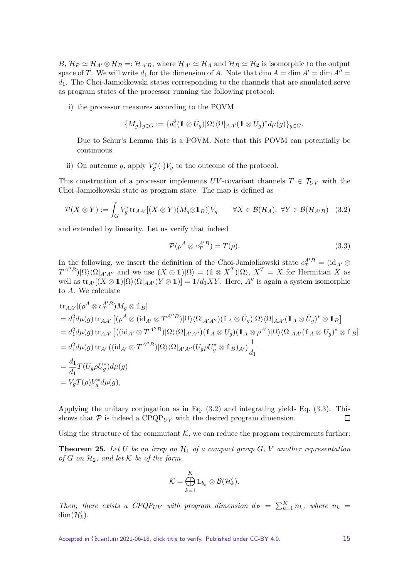$B, H_P \simeq H_{A'} \otimes H_B =: H_{A'B}$ , where  $H_{A'} \simeq H_A$  and  $H_B \simeq H_2$  is isomorphic to the output space of *T*. We will write  $d_1$  for the dimension of *A*. Note that dim  $A = \dim A' = \dim A'' =$ *d*1. The Choi-Jamiołkowski states corresponding to the channels that are simulated serve as program states of the processor running the following protocol:

i) the processor measures according to the POVM

$$
\{M_g\}_{g\in G}:=\{d_1^2(\mathbb 1\otimes \bar{U}_g)|\Omega\rangle\langle \Omega|_{AA'}(\mathbb 1\otimes \bar{U}_g)^*d\mu(g)\}_{g\in G}.
$$

Due to Schur's Lemma this is a POVM. Note that this POVM can potentially be continuous.

ii) On outcome g, apply  $V_g^*(\cdot)V_g$  to the outcome of the protocol.

This construction of a processor implements *UV*-covariant channels  $T \in \mathcal{T}_{UV}$  with the Choi-Jamiołkowski state as program state. The map is defined as

$$
\mathcal{P}(X \otimes Y) := \int_G V_g^* \text{tr}_{AA'}[(X \otimes Y)(M_g \otimes \mathbb{1}_B)]V_g \qquad \forall X \in \mathcal{B}(\mathcal{H}_A), \ \forall Y \in \mathcal{B}(\mathcal{H}_{A'B}) \quad (3.2)
$$

and extended by linearity. Let us verify that indeed

<span id="page-14-2"></span><span id="page-14-1"></span>
$$
\mathcal{P}(\rho^A \otimes c_T^{A'B}) = T(\rho). \tag{3.3}
$$

In the following, we insert the definition of the Choi-Jamiołkowski state  $c_T^{A'B} = (\mathrm{id}_{A'} \otimes$  $T^{A''B}$ )|Ω $\rangle\langle\Omega|_{A'A''}$  and we use  $(X \otimes 1)|\Omega\rangle = (1 \otimes X^T)|\Omega\rangle, X^T = \overline{X}$  for Hermitian *X* as well as  $\text{tr}_{A'}[(X \otimes 1)|\Omega\rangle\langle\Omega|_{AA'}(Y \otimes 1)] = 1/d_1XY$ . Here, A'' is again a system isomorphic to *A*. We calculate

$$
\begin{split}\n&\text{tr}_{AA'}[(\rho^{A}\otimes c_{T}^{A'B})M_{g}\otimes \mathbb{1}_{B}] \\
&= d_{1}^{2}d\mu(g)\,\text{tr}_{AA'}\left[(\rho^{A}\otimes(\text{id}_{A'}\otimes T^{A''B})|\Omega\rangle\langle\Omega|_{A'A''})(\mathbb{1}_{A}\otimes \bar{U}_{g})|\Omega\rangle\langle\Omega|_{AA'}(\mathbb{1}_{A}\otimes \bar{U}_{g})^{*}\otimes \mathbb{1}_{B}\right] \\
&= d_{1}^{2}d\mu(g)\,\text{tr}_{AA'}\left[((\text{id}_{A'}\otimes T^{A''B})|\Omega\rangle\langle\Omega|_{A'A''})(\mathbb{1}_{A}\otimes \bar{U}_{g})(\mathbb{1}_{A}\otimes \bar{\rho}^{A'})|\Omega\rangle\langle\Omega|_{AA'}(\mathbb{1}_{A}\otimes \bar{U}_{g})^{*}\otimes \mathbb{1}_{B}\right] \\
&= d_{1}^{2}d\mu(g)\,\text{tr}_{A'}\left((\text{id}_{A'}\otimes T^{A''B})|\Omega\rangle\langle\Omega|_{A'A''}(\bar{U}_{g}\bar{\rho}\bar{U}_{g}^{*}\otimes \mathbb{1}_{B})_{A'}\right)\frac{1}{d_{1}} \\
&=\frac{d_{1}}{d_{1}}T(U_{g}\rho U_{g}^{*})d\mu(g) \\
&=V_{g}T(\rho)V_{g}^{*}d\mu(g),\n\end{split}
$$

Applying the unitary conjugation as in Eq. [\(3.2\)](#page-14-1) and integrating yields Eq. [\(3.3\)](#page-14-2). This shows that  $P$  is indeed a  $\text{CPQP}_{UV}$  with the desired program dimension.  $\Box$ 

Using the structure of the commutant  $K$ , we can reduce the program requirements further:

<span id="page-14-0"></span>**Theorem 25.** Let U be an irrep on  $\mathcal{H}_1$  of a compact group  $G$ , V another representation *of*  $G$  *on*  $H_2$ *, and let*  $K$  *be of the form* 

$$
\mathcal{K} = \bigoplus_{k=1}^K 1\!\!1_{b_k} \otimes \mathcal{B}(\mathcal{H}'_k).
$$

*Then, there exists a CPQP<sub>UV</sub> with program dimension*  $d_P = \sum_{k=1}^{K} n_k$ *, where*  $n_k =$  $\dim(\mathcal{H}'_k)$ .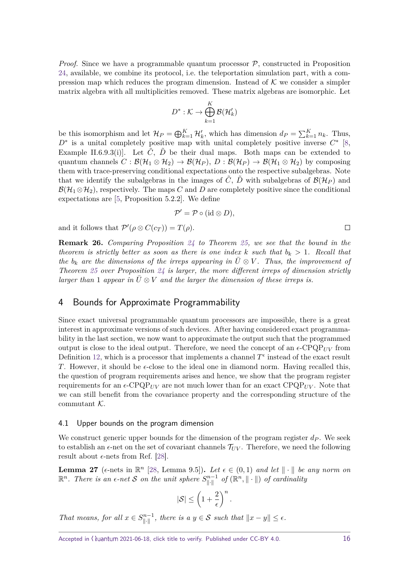*Proof.* Since we have a programmable quantum processor  $P$ , constructed in Proposition [24,](#page-13-0) available, we combine its protocol, i.e. the teleportation simulation part, with a compression map which reduces the program dimension. Instead of  $K$  we consider a simpler matrix algebra with all multiplicities removed. These matrix algebras are isomorphic. Let

$$
D^*:\mathcal{K}\to \bigoplus_{k=1}^K\mathcal{B}(\mathcal{H}'_k)
$$

be this isomorphism and let  $\mathcal{H}_P = \bigoplus_{k=1}^K \mathcal{H}'_k$ , which has dimension  $d_P = \sum_{k=1}^K n_k$ . Thus, *D*<sup>∗</sup> is a unital completely positive map with unital completely positive inverse  $C^*$  [\[8,](#page-21-7) Example II.6.9.3(i). Let  $\ddot{C}$ ,  $\ddot{D}$  be their dual maps. Both maps can be extended to quantum channels  $C : \mathcal{B}(\mathcal{H}_1 \otimes \mathcal{H}_2) \to \mathcal{B}(\mathcal{H}_P), D : \mathcal{B}(\mathcal{H}_P) \to \mathcal{B}(\mathcal{H}_1 \otimes \mathcal{H}_2)$  by composing them with trace-preserving conditional expectations onto the respective subalgebras. Note that we identify the subalgebras in the images of  $\tilde{C}$ ,  $\tilde{D}$  with subalgebras of  $\mathcal{B}(\mathcal{H}_P)$  and  $\mathcal{B}(\mathcal{H}_1 \otimes \mathcal{H}_2)$ , respectively. The maps *C* and *D* are completely positive since the conditional expectations are [\[5,](#page-21-8) Proposition 5.2.2]. We define

$$
\mathcal{P}' = \mathcal{P} \circ (\mathrm{id} \otimes D),
$$

and it follows that  $\mathcal{P}'(\rho \otimes C(c_T)) = T(\rho)$ .

**Remark 26.** *Comparing Proposition [24](#page-13-0) to Theorem [25,](#page-14-0) we see that the bound in the theorem is strictly better as soon as there is one index*  $k$  *such that*  $b_k > 1$ *. Recall that the*  $b_k$  are the dimensions of the irreps appearing in  $\overline{U} \otimes V$ . Thus, the improvement of *Theorem [25](#page-14-0) over Proposition [24](#page-13-0) is larger, the more different irreps of dimension strictly larger than* 1 *appear in*  $U \otimes V$  *and the larger the dimension of these irreps is.* 

## <span id="page-15-0"></span>4 Bounds for Approximate Programmability

Since exact universal programmable quantum processors are impossible, there is a great interest in approximate versions of such devices. After having considered exact programmability in the last section, we now want to approximate the output such that the programmed output is close to the ideal output. Therefore, we need the concept of an  $\epsilon$ -CPQP<sub>*UV*</sub> from Definition [12,](#page-4-2) which is a processor that implements a channel  $T^{\epsilon}$  instead of the exact result *T*. However, it should be  $\epsilon$ -close to the ideal one in diamond norm. Having recalled this, the question of program requirements arises and hence, we show that the program register requirements for an  $\epsilon$ -CPQP<sub>UV</sub> are not much lower than for an exact CPQP<sub>UV</sub>. Note that we can still benefit from the covariance property and the corresponding structure of the commutant  $K$ .

#### 4.1 Upper bounds on the program dimension

We construct generic upper bounds for the dimension of the program register *d<sup>P</sup>* . We seek to establish an  $\epsilon$ -net on the set of covariant channels  $\mathcal{T}_{UV}$ . Therefore, we need the following result about  $\epsilon$ -nets from Ref. [\[28\]](#page-22-15).

<span id="page-15-1"></span>**Lemma 27** ( $\epsilon$ -nets in  $\mathbb{R}^n$  [\[28,](#page-22-15) Lemma 9.5]). Let  $\epsilon \in (0,1)$  and let  $\|\cdot\|$  be any norm on  $\mathbb{R}^n$ . There is an  $\epsilon$ -net S on the unit sphere  $S^{n-1}_{\|\cdot\|}$  of  $(\mathbb{R}^n, \|\cdot\|)$  of cardinality

$$
|\mathcal{S}| \le \left(1 + \frac{2}{\epsilon}\right)^n.
$$

*That means, for all*  $x \in S^{n-1}_{\|\cdot\|}$ , there is a  $y \in S$  such that  $\|x - y\| \le \epsilon$ .

 $\Box$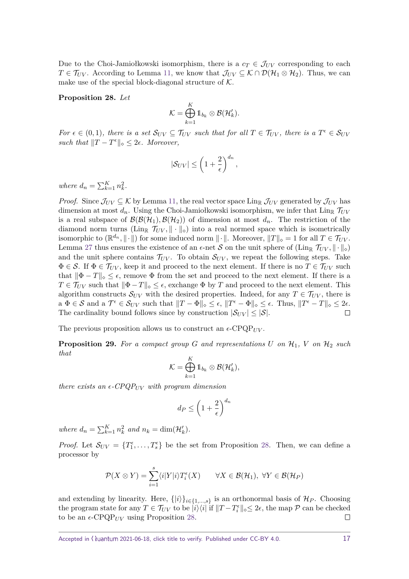Due to the Choi-Jamiołkowski isomorphism, there is a  $c_T \in \mathcal{J}_{UV}$  corresponding to each  $T \in \mathcal{T}_{UV}$ . According to Lemma [11,](#page-4-1) we know that  $\mathcal{J}_{UV} \subseteq \mathcal{K} \cap \mathcal{D}(\mathcal{H}_1 \otimes \mathcal{H}_2)$ . Thus, we can make use of the special block-diagonal structure of  $K$ .

<span id="page-16-1"></span>**Proposition 28.** *Let*

$$
\mathcal{K} = \bigoplus_{k=1}^K 1\!\!1_{b_k} \otimes \mathcal{B}(\mathcal{H}'_k).
$$

*For*  $\epsilon \in (0,1)$ *, there is a set*  $\mathcal{S}_{UV} \subseteq \mathcal{T}_{UV}$  *such that for all*  $T \in \mathcal{T}_{UV}$ *, there is a*  $T^{\epsilon} \in \mathcal{S}_{UV}$ *such that*  $||T - T^{\epsilon}||_{\infty} \leq 2\epsilon$ . Moreover,

$$
|\mathcal{S}_{UV}| \le \left(1 + \frac{2}{\epsilon}\right)^{d_n},
$$

*where*  $d_n = \sum_{k=1}^{K} n_k^2$ .

*Proof.* Since  $\mathcal{J}_{UV} \subseteq \mathcal{K}$  by Lemma [11,](#page-4-1) the real vector space Ling  $\mathcal{J}_{UV}$  generated by  $\mathcal{J}_{UV}$  has dimension at most  $d_n$ . Using the Choi-Jamiołkowski isomorphism, we infer that  $\lim_{\mathbb{R}} \mathcal{T}_{UV}$ is a real subspace of  $\mathcal{B}(\mathcal{B}(\mathcal{H}_1), \mathcal{B}(\mathcal{H}_2))$  of dimension at most  $d_n$ . The restriction of the diamond norm turns ( $\text{Lin}_{\mathbb{R}}$   $\mathcal{T}_{UV}$ ,  $\|\cdot\|_{\diamond}$ ) into a real normed space which is isometrically isomorphic to  $(\mathbb{R}^{d_n}, \|\cdot\|)$  for some induced norm  $\|\cdot\|$ . Moreover,  $||T||_{\diamond} = 1$  for all  $T \in \mathcal{T}_{UV}$ . Lemma [27](#page-15-1) thus ensures the existence of an  $\epsilon$ -net S on the unit sphere of  $(\text{Lin}_{\mathbb{R}} \mathcal{T}_{UV}, \|\cdot\|_{\diamond})$ and the unit sphere contains  $\mathcal{T}_{UV}$ . To obtain  $\mathcal{S}_{UV}$ , we repeat the following steps. Take  $\Phi \in \mathcal{S}$ . If  $\Phi \in \mathcal{T}_{UV}$ , keep it and proceed to the next element. If there is no  $T \in \mathcal{T}_{UV}$  such that  $\|\Phi - T\|_{\infty} \leq \epsilon$ , remove  $\Phi$  from the set and proceed to the next element. If there is a  $T \in \mathcal{T}_{UV}$  such that  $\|\Phi - T\|_{\infty} \leq \epsilon$ , exchange  $\Phi$  by *T* and proceed to the next element. This algorithm constructs  $S_{UV}$  with the desired properties. Indeed, for any  $T \in \mathcal{T}_{UV}$ , there is  $a \Phi \in \mathcal{S}$  and  $a \mathcal{T}^{\epsilon} \in \mathcal{S}_{UV}$  such that  $||T - \Phi||_{\diamond} \leq \epsilon$ ,  $||T^{\epsilon} - \Phi||_{\diamond} \leq \epsilon$ . Thus,  $||T^{\epsilon} - T||_{\diamond} \leq 2\epsilon$ . The cardinality bound follows since by construction  $|\mathcal{S}_{UV}| \leq |\mathcal{S}|$ .  $\Box$ 

The previous proposition allows us to construct an  $\epsilon$ -CPQP<sub>*UV*</sub>.

<span id="page-16-0"></span>**Proposition 29.** For a compact group G and representations U on  $\mathcal{H}_1$ , V on  $\mathcal{H}_2$  such *that*

$$
\mathcal{K} = \bigoplus_{k=1}^K 1\!\!1_{b_k} \otimes \mathcal{B}(\mathcal{H}'_k),
$$

*there exists an*  $\epsilon$ -CPQP<sub>*UV*</sub> *with program dimension* 

$$
d_P \le \left(1 + \frac{2}{\epsilon}\right)^{d_n}
$$

*where*  $d_n = \sum_{k=1}^K n_k^2$  *and*  $n_k = \dim(\mathcal{H}'_k)$ *.* 

*Proof.* Let  $S_{UV} = \{T_1^{\epsilon}, \ldots, T_s^{\epsilon}\}\$ be the set from Proposition [28.](#page-16-1) Then, we can define a processor by

$$
\mathcal{P}(X \otimes Y) = \sum_{i=1}^{s} \langle i | Y | i \rangle T_i^{\epsilon}(X) \qquad \forall X \in \mathcal{B}(\mathcal{H}_1), \ \forall Y \in \mathcal{B}(\mathcal{H}_P)
$$

and extending by linearity. Here,  $\{|i\rangle\}_{i\in\{1,\ldots,s\}}$  is an orthonormal basis of  $\mathcal{H}_P$ . Choosing the program state for any  $T \in \mathcal{T}_{UV}$  to be  $|i\rangle\langle i|$  if  $||T - T_i^{\epsilon}||_{\infty} \leq 2\epsilon$ , the map  $\mathcal{P}$  can be checked to be an  $\epsilon$ -CPQP<sub>*UV*</sub> using Proposition [28.](#page-16-1)  $\Box$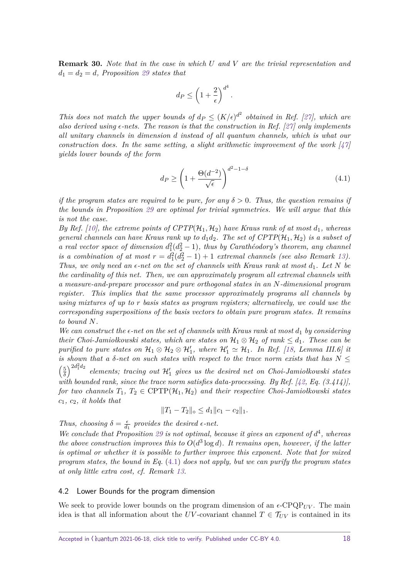<span id="page-17-1"></span>**Remark 30.** *Note that in the case in which U and V are the trivial representation and*  $d_1 = d_2 = d$ , Proposition [29](#page-16-0) states that

$$
d_P \le \left(1 + \frac{2}{\epsilon}\right)^{d^4}.
$$

*This does not match the upper bounds of*  $d_P \leq (K/\epsilon)^{d^2}$  *obtained in Ref.* [\[27\]](#page-22-5), which are *also derived using*  $\epsilon$ -nets. The reason is that the construction in Ref. [\[27\]](#page-22-5) only implements *all unitary channels in dimension d instead of all quantum channels, which is what our construction does. In the same setting, a slight arithmetic improvement of the work*  $\left[47\right]$ *yields lower bounds of the form*

<span id="page-17-0"></span>
$$
d_P \ge \left(1 + \frac{\Theta(d^{-2})}{\sqrt{\epsilon}}\right)^{d^2 - 1 - \delta} \tag{4.1}
$$

*if the program states are required to be pure, for any*  $\delta > 0$ . Thus, the question remains if *the bounds in Proposition [29](#page-16-0) are optimal for trivial symmetries. We will argue that this is not the case.*

*By Ref.* [\[10\]](#page-21-2), the extreme points of  $CPTP(\mathcal{H}_1, \mathcal{H}_2)$  have Kraus rank of at most  $d_1$ , whereas *general channels can have Kraus rank up to*  $d_1d_2$ . The set of  $CPTP(\mathcal{H}_1, \mathcal{H}_2)$  is a subset of *a real vector space of dimension*  $d_1^2(d_2^2 - 1)$ , thus by Carathéodory's theorem, any channel *is a combination of at most*  $r = d_1^2(d_2^2 - 1) + 1$  *extremal channels (see also Remark [13\)](#page-5-1). Thus, we only need an*  $\epsilon$ -net on the set of channels with Kraus rank at most  $d_1$ . Let N be *the cardinality of this net. Then, we can approximately program all extremal channels with a measure-and-prepare processor and pure orthogonal states in an N-dimensional program register. This implies that the same processor approximately programs all channels by using mixtures of up to r basis states as program registers; alternatively, we could use the corresponding superpositions of the basis vectors to obtain pure program states. It remains to bound N.*

*We can construct the*  $\epsilon$ -net on the set of channels with Kraus rank at most  $d_1$  by considering *their Choi-Jamiołkowski states, which are states on*  $H_1 \otimes H_2$  *of rank*  $\leq d_1$ *. These can be purified to pure states on*  $H_1 \otimes H_2 \otimes H'_1$ , where  $H'_1 \simeq H_1$ . In Ref. [\[18,](#page-22-16) Lemma III.6] it *is shown that a*  $\delta$ -net on such states with respect to the trace norm exists that has  $N \leq$  $\sqrt{5}$  $\left(\frac{5}{\delta}\right)^{2d_1^2d_2}$  $elements;$  tracing out  $\mathcal{H}'_1$  gives us the desired net on Choi-Jamiołkowski states with bounded rank, since the trace norm satisfies data-processing. By Ref.  $[42, Eq. (3.414)],$  $[42, Eq. (3.414)],$ *for two channels*  $T_1, T_2 \in \text{CPTP}(\mathcal{H}_1, \mathcal{H}_2)$  *and their respective Choi-Jamiołkowski states c*1*, c*2*, it holds that*

$$
||T_1 - T_2||_{\diamond} \le d_1 ||c_1 - c_2||_1.
$$

*Thus, choosing*  $\delta = \frac{\epsilon}{d}$  $\frac{\epsilon}{d_1}$  provides the desired  $\epsilon$ -net.

We conclude that Proposition [29](#page-16-0) is not optimal, because it gives an exponent of  $d^4$ , whereas *the above construction improves this to*  $O(d^3 \log d)$ *. It remains open, however, if the latter is optimal or whether it is possible to further improve this exponent. Note that for mixed program states, the bound in Eq.* [\(4.1\)](#page-17-0) *does not apply, but we can purify the program states at only little extra cost, cf. Remark [13.](#page-5-1)*

#### 4.2 Lower Bounds for the program dimension

We seek to provide lower bounds on the program dimension of an  $\epsilon$ -CPQP<sub>*UV*</sub>. The main idea is that all information about the *UV*-covariant channel  $T \in \mathcal{T}_{UV}$  is contained in its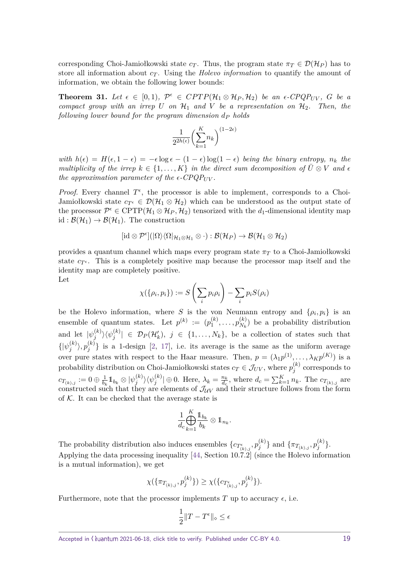corresponding Choi-Jamiołkowski state  $c_T$ . Thus, the program state  $\pi_T \in \mathcal{D}(\mathcal{H}_P)$  has to store all information about  $c_T$ . Using the *Holevo information* to quantify the amount of information, we obtain the following lower bounds:

<span id="page-18-0"></span>**Theorem 31.** Let  $\epsilon \in [0,1)$ ,  $\mathcal{P}^{\epsilon} \in CPTP(\mathcal{H}_1 \otimes \mathcal{H}_P, \mathcal{H}_2)$  be an  $\epsilon$ -CPQP<sub>UV</sub>, G be a *compact group with an irrep*  $U$  *on*  $H_1$  *and*  $V$  *be a representation on*  $H_2$ *. Then, the following lower bound for the program dimension d<sup>P</sup> holds*

$$
\frac{1}{2^{2h(\epsilon)}}\biggl(\sum_{k=1}^Kn_k\biggr)^{(1-2\epsilon)}
$$

*with*  $h(\epsilon) = H(\epsilon, 1 - \epsilon) = -\epsilon \log \epsilon - (1 - \epsilon) \log(1 - \epsilon)$  *being the binary entropy,*  $n_k$  *the multiplicity of the irrep*  $k \in \{1, ..., K\}$  *in the direct sum decomposition of*  $\overline{U} \otimes V$  *and*  $\epsilon$ *the approximation parameter of the*  $\epsilon$ *-CPQP<sub>UV</sub>.* 

*Proof.* Every channel  $T^{\epsilon}$ , the processor is able to implement, corresponds to a Choi-Jamiołkowski state  $c_T \in \mathcal{D}(\mathcal{H}_1 \otimes \mathcal{H}_2)$  which can be understood as the output state of the processor  $\mathcal{P}^{\epsilon} \in \text{CPTP}(\mathcal{H}_1 \otimes \mathcal{H}_P, \mathcal{H}_2)$  tensorized with the  $d_1$ -dimensional identity map id :  $\mathcal{B}(\mathcal{H}_1) \to \mathcal{B}(\mathcal{H}_1)$ . The construction

$$
[\mathrm{id}\otimes \mathcal{P}^\varepsilon](\vert\Omega\rangle\langle\Omega\vert_{\mathcal{H}_1\otimes\mathcal{H}_1}\otimes\cdot):\mathcal{B}(\mathcal{H}_P)\to\mathcal{B}(\mathcal{H}_1\otimes\mathcal{H}_2)
$$

provides a quantum channel which maps every program state *π<sup>T</sup>* to a Choi-Jamiołkowski state  $c_{T^{\epsilon}}$ . This is a completely positive map because the processor map itself and the identity map are completely positive. Let

$$
\chi(\{\rho_i, p_i\}) := S\left(\sum_i p_i \rho_i\right) - \sum_i p_i S(\rho_i)
$$

be the Holevo information, where *S* is the von Neumann entropy and  $\{\rho_i, p_i\}$  is an ensemble of quantum states. Let  $p^{(k)} := (p_1^{(k)})$  $p_1^{(k)},\ldots,p_{N_k}^{(k)}$  $N_k^{(k)}$  be a probability distribution and let  $|\psi_i^{(k)}\rangle$  $\langle \psi_j^{(k)} \rangle \langle \psi_j^{(k)}|$  $|\mathcal{D}_j^{(k)}| \in \mathcal{D}_P(\mathcal{H}'_k), j \in \{1, \ldots, N_k\},$  be a collection of states such that  $\{| \psi_i^{(k)}\rangle$  $\langle k \rangle \rangle, p_j^{(k)}$  $j^{(k)}$ } is a 1-design [\[2,](#page-21-9) [17\]](#page-22-17), i.e. its average is the same as the uniform average over pure states with respect to the Haar measure. Then,  $p = (\lambda_1 p^{(1)}, \dots, \lambda_K p^{(K)})$  is a probability distribution on Choi-Jamiołkowski states  $c_T \in \mathcal{J}_{UV}$ , where  $p_j^{(k)}$  $j_j^{(k)}$  corresponds to  $c_{T_{(k),j}}:=0\oplus\frac{1}{b_k}$  $\frac{1}{b_k}1\!\!1_{b_k}\otimes|\psi_j^{(k)}|$  $\langle \psi_j^{(k)} \rangle \langle \psi_j^{(k)}|$  $\left| \begin{array}{c} (k) \\ j \end{array} \right| \oplus 0$ . Here,  $\lambda_k = \frac{n_k}{d_c}$  $\frac{n_k}{d_c}$ , where  $d_c = \sum_{k=1}^K n_k$ . The  $c_{T_{(k),j}}$  are constructed such that they are elements of  $\mathcal{J}_{UV}$  and their structure follows from the form of  $K$ . It can be checked that the average state is

$$
\frac{1}{d_c}\bigoplus_{k=1}^K\frac{\mathbb{1}_{b_k}}{b_k}\otimes \mathbb{1}_{n_k}.
$$

The probability distribution also induces ensembles  $\{c_{T_{(k),j}^{\epsilon}}, p_j^{(k)}\}$  $\{g^{(k)}_j\}$  and  $\{\pi_{T_{(k),j}}, p_j^{(k)}\}$  $\binom{\kappa}{j}$ . Applying the data processing inequality [\[44,](#page-23-15) Section 10.7.2] (since the Holevo information is a mutual information), we get

$$
\chi(\{\pi_{T_{(k),j}}, p_j^{(k)}\}) \geq \chi(\{c_{T_{(k),j}^{\epsilon}}, p_j^{(k)}\}).
$$

Furthermore, note that the processor implements  $T$  up to accuracy  $\epsilon$ , i.e.

$$
\frac{1}{2}\|T-T^{\epsilon}\|_{\diamond}\leq \epsilon
$$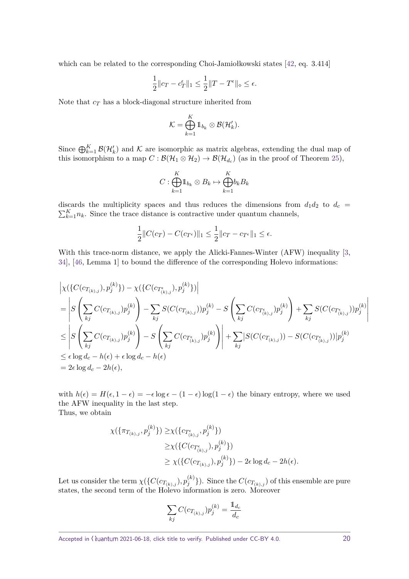which can be related to the corresponding Choi-Jamiołkowski states [\[42,](#page-23-14) eq. 3.414]

$$
\frac{1}{2}\|c_T - c_T^\epsilon\|_1 \leq \frac{1}{2}\|T - T^\epsilon\|_\diamond \leq \epsilon.
$$

Note that *c<sup>T</sup>* has a block-diagonal structure inherited from

$$
\mathcal{K} = \bigoplus_{k=1}^K 1\!\!1_{b_k} \otimes \mathcal{B}(\mathcal{H}'_k).
$$

Since  $\bigoplus_{k=1}^K \mathcal{B}(\mathcal{H}'_k)$  and K are isomorphic as matrix algebras, extending the dual map of this isomorphism to a map  $C : \mathcal{B}(\mathcal{H}_1 \otimes \mathcal{H}_2) \to \mathcal{B}(\mathcal{H}_{d_c})$  (as in the proof of Theorem [25\)](#page-14-0),

$$
C: \bigoplus_{k=1}^K 1\!\!1_{b_k} \otimes B_k \mapsto \bigoplus_{k=1}^K\!b_k B_k
$$

discards the multiplicity spaces and thus reduces the dimensions from  $d_1d_2$  to  $d_c$  =  $\sum_{k=1}^{K} n_k$ . Since the trace distance is contractive under quantum channels,

$$
\frac{1}{2}||C(c_T) - C(c_{T^{\epsilon}})||_1 \le \frac{1}{2}||c_T - c_{T^{\epsilon}}||_1 \le \epsilon.
$$

With this trace-norm distance, we apply the Alicki-Fannes-Winter (AFW) inequality [\[3,](#page-21-10) [34\]](#page-23-16), [\[46,](#page-23-17) Lemma 1] to bound the difference of the corresponding Holevo informations:

$$
\begin{split}\n&\left| \chi(\{C(c_{T_{(k),j}}), p_j^{(k)}\}) - \chi(\{C(c_{T_{(k),j}^{\epsilon}}), p_j^{(k)}\}) \right| \\
&= \left| S\left(\sum_{kj} C(c_{T_{(k),j}}) p_j^{(k)}\right) - \sum_{kj} S(C(c_{T_{(k),j}})) p_j^{(k)} - S\left(\sum_{kj} C(c_{T_{(k),j}^{\epsilon}}) p_j^{(k)}\right) + \sum_{kj} S(C(c_{T_{(k),j}^{\epsilon}})) p_j^{(k)} \right| \\
&\leq \left| S\left(\sum_{kj} C(c_{T_{(k),j}}) p_j^{(k)}\right) - S\left(\sum_{kj} C(c_{T_{(k),j}^{\epsilon}}) p_j^{(k)}\right) \right| + \sum_{kj} |S(C(c_{T_{(k),j}})) - S(C(c_{T_{(k),j}^{\epsilon}}))| p_j^{(k)} \\
&\leq \epsilon \log d_c - h(\epsilon) + \epsilon \log d_c - h(\epsilon) \\
&= 2\epsilon \log d_c - 2h(\epsilon),\n\end{split}
$$

with  $h(\epsilon) = H(\epsilon, 1 - \epsilon) = -\epsilon \log \epsilon - (1 - \epsilon) \log(1 - \epsilon)$  the binary entropy, where we used the AFW inequality in the last step.

Thus, we obtain

$$
\chi(\{\pi_{T_{(k),j}}, p_j^{(k)}\}) \geq \chi(\{c_{T_{(k),j}^{\epsilon}}, p_j^{(k)}\})
$$
  

$$
\geq \chi(\{C(c_{T_{(k),j}^{\epsilon}}), p_j^{(k)}\})
$$
  

$$
\geq \chi(\{C(c_{T_{(k),j}}), p_j^{(k)}\}) - 2\epsilon \log d_c - 2h(\epsilon).
$$

Let us consider the term  $\chi(\{C(c_{T_{(k),j}}), p_j^{(k)}\})$  $\binom{k}{j}$ . Since the  $C(c_{T_{(k),j}})$  of this ensemble are pure states, the second term of the Holevo information is zero. Moreover

$$
\sum_{kj} C(c_{T_{(k),j}}) p_j^{(k)} = \frac{\mathbb{1}_{d_c}}{d_c}
$$

Accepted in  $\lambda$ uantum 2021-06-18, click title to verify. Published under CC-BY 4.0. 20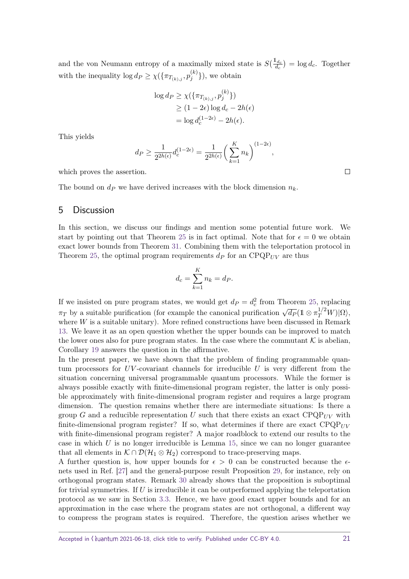and the von Neumann entropy of a maximally mixed state is  $S(\frac{1_{d_c}}{d_c}) = \log d_c$ . Together with the inequality  $\log d_P \geq \chi(\{\pi_{T_{(k),j}}, p_j^{(k)}\})$  $\{y_j^{(k)}\}\)$ , we obtain

$$
\log d_P \ge \chi(\{\pi_{T_{(k),j}}, p_j^{(k)}\})
$$
  
 
$$
\ge (1 - 2\epsilon) \log d_c - 2h(\epsilon)
$$
  
=  $\log d_c^{(1-2\epsilon)} - 2h(\epsilon).$ 

This yields

$$
d_P \ge \frac{1}{2^{2h(\epsilon)}} d_c^{(1-2\epsilon)} = \frac{1}{2^{2h(\epsilon)}} \left(\sum_{k=1}^K n_k\right)^{(1-2\epsilon)},
$$

which proves the assertion.

The bound on  $d<sub>P</sub>$  we have derived increases with the block dimension  $n<sub>k</sub>$ .

### 5 Discussion

In this section, we discuss our findings and mention some potential future work. We start by pointing out that Theorem [25](#page-14-0) is in fact optimal. Note that for  $\epsilon = 0$  we obtain exact lower bounds from Theorem [31.](#page-18-0) Combining them with the teleportation protocol in Theorem [25,](#page-14-0) the optimal program requirements  $d<sub>P</sub>$  for an CPQP<sub>*UV*</sub> are thus

$$
d_c = \sum_{k=1}^{K} n_k = d_P.
$$

If we insisted on pure program states, we would get  $d_P = d_c^2$  from Theorem [25,](#page-14-0) replacing *π*<sup>T</sup> by a suitable purification (for example the canonical purification  $\sqrt{d_P} (1 \otimes \pi_T^{1/2} W) | \Omega \rangle$ , where *W* is a suitable unitary). More refined constructions have been discussed in Remark [13.](#page-5-1) We leave it as an open question whether the upper bounds can be improved to match the lower ones also for pure program states. In the case where the commutant  $\mathcal K$  is abelian, Corollary [19](#page-9-0) answers the question in the affirmative.

In the present paper, we have shown that the problem of finding programmable quantum processors for *UV* -covariant channels for irreducible *U* is very different from the situation concerning universal programmable quantum processors. While the former is always possible exactly with finite-dimensional program register, the latter is only possible approximately with finite-dimensional program register and requires a large program dimension. The question remains whether there are intermediate situations: Is there a group *G* and a reducible representation *U* such that there exists an exact  $\text{CPQP}_{UV}$  with finite-dimensional program register? If so, what determines if there are exact CPQP*UV* with finite-dimensional program register? A major roadblock to extend our results to the case in which *U* is no longer irreducible is Lemma [15,](#page-6-0) since we can no longer guarantee that all elements in  $K \cap \mathcal{D}(\mathcal{H}_1 \otimes \mathcal{H}_2)$  correspond to trace-preserving maps.

A further question is, how upper bounds for  $\epsilon > 0$  can be constructed because the  $\epsilon$ nets used in Ref. [\[27\]](#page-22-5) and the general-purpose result Proposition [29,](#page-16-0) for instance, rely on orthogonal program states. Remark [30](#page-17-1) already shows that the proposition is suboptimal for trivial symmetries. If *U* is irreducible it can be outperformed applying the teleportation protocol as we saw in Section [3.3.](#page-11-0) Hence, we have good exact upper bounds and for an approximation in the case where the program states are not orthogonal, a different way to compress the program states is required. Therefore, the question arises whether we

 $\Box$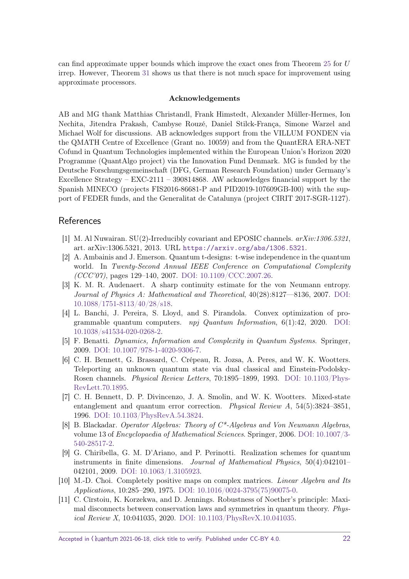can find approximate upper bounds which improve the exact ones from Theorem [25](#page-14-0) for *U* irrep. However, Theorem [31](#page-18-0) shows us that there is not much space for improvement using approximate processors.

#### **Acknowledgements**

AB and MG thank Matthias Christandl, Frank Himstedt, Alexander Müller-Hermes, Ion Nechita, Jitendra Prakash, Cambyse Rouzé, Daniel Stilck-França, Simone Warzel and Michael Wolf for discussions. AB acknowledges support from the VILLUM FONDEN via the QMATH Centre of Excellence (Grant no. 10059) and from the QuantERA ERA-NET Cofund in Quantum Technologies implemented within the European Union's Horizon 2020 Programme (QuantAlgo project) via the Innovation Fund Denmark. MG is funded by the Deutsche Forschungsgemeinschaft (DFG, German Research Foundation) under Germany's Excellence Strategy – EXC-2111 – 390814868. AW acknowledges financial support by the Spanish MINECO (projects FIS2016-86681-P and PID2019-107609GB-I00) with the support of FEDER funds, and the Generalitat de Catalunya (project CIRIT 2017-SGR-1127).

## **References**

- <span id="page-21-3"></span>[1] M. Al Nuwairan. SU(2)-Irreducibly covariant and EPOSIC channels. arXiv:1306.5321, art. arXiv:1306.5321, 2013. URL <https://arxiv.org/abs/1306.5321>.
- <span id="page-21-9"></span>[2] A. Ambainis and J. Emerson. Quantum t-designs: t-wise independence in the quantum world. In Twenty-Second Annual IEEE Conference on Computational Complexity  $(CCC'07)$ , pages 129–140, 2007. [DOI: 10.1109/CCC.2007.26.](https://doi.org/10.1109/CCC.2007.26)
- <span id="page-21-10"></span>[3] K. M. R. Audenaert. A sharp continuity estimate for the von Neumann entropy. Journal of Physics A: Mathematical and Theoretical, 40(28):8127––8136, 2007. [DOI:](https://doi.org/10.1088/1751-8113/40/28/s18) [10.1088/1751-8113/40/28/s18.](https://doi.org/10.1088/1751-8113/40/28/s18)
- <span id="page-21-0"></span>[4] L. Banchi, J. Pereira, S. Lloyd, and S. Pirandola. Convex optimization of programmable quantum computers.  $npj$  Quantum Information, 6(1):42, 2020. [DOI:](https://doi.org/10.1038/s41534-020-0268-2) [10.1038/s41534-020-0268-2.](https://doi.org/10.1038/s41534-020-0268-2)
- <span id="page-21-8"></span>[5] F. Benatti. Dynamics, Information and Complexity in Quantum Systems. Springer, 2009. [DOI: 10.1007/978-1-4020-9306-7.](https://doi.org/10.1007/978-1-4020-9306-7)
- <span id="page-21-4"></span>[6] C. H. Bennett, G. Brassard, C. Crépeau, R. Jozsa, A. Peres, and W. K. Wootters. Teleporting an unknown quantum state via dual classical and Einstein-Podolsky-Rosen channels. Physical Review Letters, 70:1895–1899, 1993. [DOI: 10.1103/Phys-](https://doi.org/10.1103/PhysRevLett.70.1895)[RevLett.70.1895.](https://doi.org/10.1103/PhysRevLett.70.1895)
- <span id="page-21-5"></span>[7] C. H. Bennett, D. P. Divincenzo, J. A. Smolin, and W. K. Wootters. Mixed-state entanglement and quantum error correction. Physical Review A, 54(5):3824–3851, 1996. [DOI: 10.1103/PhysRevA.54.3824.](https://doi.org/10.1103/PhysRevA.54.3824)
- <span id="page-21-7"></span>[8] B. Blackadar. Operator Algebras: Theory of C\*-Algebras and Von Neumann Algebras, volume 13 of Encyclopaedia of Mathematical Sciences. Springer, 2006. [DOI: 10.1007/3-](https://doi.org/10.1007/3-540-28517-2) [540-28517-2.](https://doi.org/10.1007/3-540-28517-2)
- <span id="page-21-6"></span>[9] G. Chiribella, G. M. D'Ariano, and P. Perinotti. Realization schemes for quantum instruments in finite dimensions. Journal of Mathematical Physics, 50(4):042101– 042101, 2009. [DOI: 10.1063/1.3105923.](https://doi.org/10.1063/1.3105923)
- <span id="page-21-2"></span>[10] M.-D. Choi. Completely positive maps on complex matrices. Linear Algebra and Its Applications, 10:285–290, 1975. [DOI: 10.1016/0024-3795\(75\)90075-0.](https://doi.org/10.1016/0024-3795(75)90075-0)
- <span id="page-21-1"></span>[11] C. Cîrstoiu, K. Korzekwa, and D. Jennings. Robustness of Noether's principle: Maximal disconnects between conservation laws and symmetries in quantum theory. Physical Review X, 10:041035, 2020. [DOI: 10.1103/PhysRevX.10.041035.](https://doi.org/10.1103/PhysRevX.10.041035)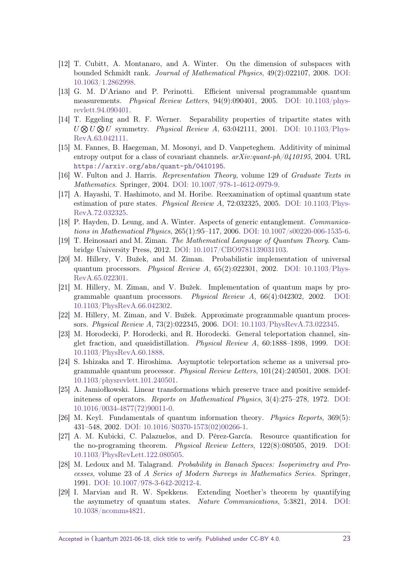- <span id="page-22-11"></span>[12] T. Cubitt, A. Montanaro, and A. Winter. On the dimension of subspaces with bounded Schmidt rank. Journal of Mathematical Physics, 49(2):022107, 2008. [DOI:](https://doi.org/10.1063/1.2862998) [10.1063/1.2862998.](https://doi.org/10.1063/1.2862998)
- <span id="page-22-1"></span>[13] G. M. D'Ariano and P. Perinotti. Efficient universal programmable quantum measurements. Physical Review Letters,  $94(9):090401$ ,  $2005$ . DOI:  $10.1103$ /phys[revlett.94.090401.](https://doi.org/10.1103/physrevlett.94.090401)
- <span id="page-22-13"></span>[14] T. Eggeling and R. F. Werner. Separability properties of tripartite states with  $U \otimes U \otimes U$  symmetry. *Physical Review A*, 63:042111, 2001. [DOI: 10.1103/Phys-](https://doi.org/10.1103/PhysRevA.63.042111)[RevA.63.042111.](https://doi.org/10.1103/PhysRevA.63.042111)
- <span id="page-22-9"></span>[15] M. Fannes, B. Haegeman, M. Mosonyi, and D. Vanpeteghem. Additivity of minimal entropy output for a class of covariant channels.  $arXiv:quant\text{-}ph/0410195$ , 2004. URL <https://arxiv.org/abs/quant-ph/0410195>.
- <span id="page-22-12"></span>[16] W. Fulton and J. Harris. Representation Theory, volume 129 of Graduate Texts in Mathematics. Springer, 2004. [DOI: 10.1007/978-1-4612-0979-9.](https://doi.org/10.1007/978-1-4612-0979-9)
- <span id="page-22-17"></span>[17] A. Hayashi, T. Hashimoto, and M. Horibe. Reexamination of optimal quantum state estimation of pure states. Physical Review A, 72:032325, 2005. DOI:  $10.1103$ /Phys-[RevA.72.032325.](https://doi.org/10.1103/PhysRevA.72.032325)
- <span id="page-22-16"></span>[18] P. Hayden, D. Leung, and A. Winter. Aspects of generic entanglement. Communications in Mathematical Physics, 265(1):95–117, 2006. [DOI: 10.1007/s00220-006-1535-6.](https://doi.org/10.1007/s00220-006-1535-6)
- <span id="page-22-8"></span>[19] T. Heinosaari and M. Ziman. The Mathematical Language of Quantum Theory. Cambridge University Press, 2012. [DOI: 10.1017/CBO9781139031103.](https://doi.org/10.1017/CBO9781139031103)
- <span id="page-22-2"></span>[20] M. Hillery, V. Bužek, and M. Ziman. Probabilistic implementation of universal quantum processors. Physical Review A, 65(2):022301, 2002. [DOI: 10.1103/Phys-](https://doi.org/10.1103/PhysRevA.65.022301)[RevA.65.022301.](https://doi.org/10.1103/PhysRevA.65.022301)
- <span id="page-22-0"></span>[21] M. Hillery, M. Ziman, and V. Bužek. Implementation of quantum maps by programmable quantum processors. Physical Review A, 66(4):042302, 2002. [DOI:](https://doi.org/10.1103/PhysRevA.66.042302) [10.1103/PhysRevA.66.042302.](https://doi.org/10.1103/PhysRevA.66.042302)
- <span id="page-22-3"></span>[22] M. Hillery, M. Ziman, and V. Bužek. Approximate programmable quantum processors. Physical Review A, 73(2):022345, 2006. [DOI: 10.1103/PhysRevA.73.022345.](https://doi.org/10.1103/PhysRevA.73.022345)
- <span id="page-22-14"></span>[23] M. Horodecki, P. Horodecki, and R. Horodecki. General teleportation channel, singlet fraction, and quasidistillation. Physical Review A, 60:1888–1898, 1999. [DOI:](https://doi.org/10.1103/PhysRevA.60.1888) [10.1103/PhysRevA.60.1888.](https://doi.org/10.1103/PhysRevA.60.1888)
- <span id="page-22-4"></span>[24] S. Ishizaka and T. Hiroshima. Asymptotic teleportation scheme as a universal programmable quantum processor. Physical Review Letters, 101(24):240501, 2008. [DOI:](https://doi.org/10.1103/physrevlett.101.240501) [10.1103/physrevlett.101.240501.](https://doi.org/10.1103/physrevlett.101.240501)
- <span id="page-22-7"></span>[25] A. Jamiołkowski. Linear transformations which preserve trace and positive semidefiniteness of operators. Reports on Mathematical Physics, 3(4):275–278, 1972. [DOI:](https://doi.org/10.1016/0034-4877(72)90011-0) [10.1016/0034-4877\(72\)90011-0.](https://doi.org/10.1016/0034-4877(72)90011-0)
- <span id="page-22-10"></span>[26] M. Keyl. Fundamentals of quantum information theory. Physics Reports, 369(5): 431–548, 2002. [DOI: 10.1016/S0370-1573\(02\)00266-1.](https://doi.org/10.1016/S0370-1573(02)00266-1)
- <span id="page-22-5"></span>[27] A. M. Kubicki, C. Palazuelos, and D. Pérez-García. Resource quantification for the no-programing theorem. Physical Review Letters, 122(8):080505, 2019. [DOI:](https://doi.org/10.1103/PhysRevLett.122.080505) [10.1103/PhysRevLett.122.080505.](https://doi.org/10.1103/PhysRevLett.122.080505)
- <span id="page-22-15"></span>[28] M. Ledoux and M. Talagrand. Probability in Banach Spaces: Isoperimetry and Processes, volume 23 of A Series of Modern Surveys in Mathematics Series. Springer, 1991. [DOI: 10.1007/978-3-642-20212-4.](https://doi.org/10.1007/978-3-642-20212-4)
- <span id="page-22-6"></span>[29] I. Marvian and R. W. Spekkens. Extending Noether's theorem by quantifying the asymmetry of quantum states. Nature Communications, 5:3821, 2014. [DOI:](https://doi.org/10.1038/ncomms4821) [10.1038/ncomms4821.](https://doi.org/10.1038/ncomms4821)

Accepted in  $\lambda$ uantum 2021-06-18, click title to verify. Published under CC-BY 4.0. 23